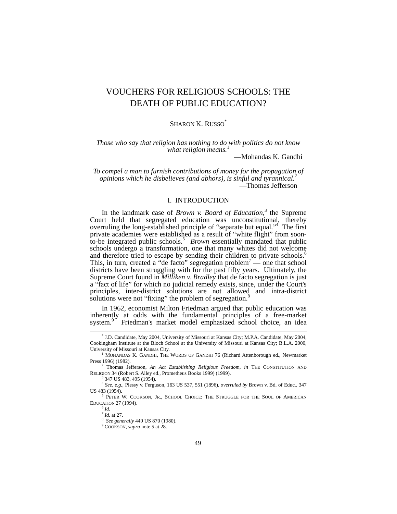# VOUCHERS FOR RELIGIOUS SCHOOLS: THE DEATH OF PUBLIC EDUCATION?

## SHARON K. RUSSO<sup>\*</sup>

*Those who say that religion has nothing to do with politics do not know what religion means.* [1](#page-0-1)

—Mohandas K. Gandhi

*To compel a man to furnish contributions of money for the propagation of opinions which he disbelieves (and abhors), is sinful and tyrannical.*[2](#page-0-2) —Thomas Jefferson

# I. INTRODUCTION

Inthe landmark case of *Brown v. Board of Education*,<sup>3</sup> the Supreme Court held that segregated education was unconstitutional, thereby overruling the long-established principle of "separate but equal."<sup>4</sup> The first private academies were established as a result of "white flight" from soon-to-be integrated public schools.<sup>[5](#page-0-5)</sup> Brown essentially mandated that public schools undergo a transformation, one that many whites did not welcome and therefore tried to escape by sending their children to private schools.<sup>[6](#page-0-6)</sup> This, in turn, created a "de facto" segregation problem<sup>[7](#page-0-7)</sup> — one that school districts have been struggling with for the past fifty years. Ultimately, the Supreme Court found in *Milliken v. Bradley* that de facto segregation is just a "fact of life" for which no judicial remedy exists, since, under the Court's principles, inter-district solutions are not allowed and intra-district solutions were not "fixing" the problem of segregation.<sup>8</sup>

In 1962, economist Milton Friedman argued that public education was inherently at odds with the fundamental principles of a free-market system.<sup>9</sup>Friedman's market model emphasized school choice, an idea

<span id="page-0-4"></span><span id="page-0-3"></span><span id="page-0-2"></span><sup>3</sup> 347 US 483, 495 (1954).

<span id="page-0-8"></span>8 *See generally* 449 US 870 (1980).

<span id="page-0-0"></span> <sup>\*</sup> U.D. Candidate, May 2004, University of Missouri at Kansas City; M.P.A. Candidate, May 2004, Cookingham Institute at the Bloch School at the University of Missouri at Kansas City; B.L.A. 2000, University of Missouri at Kansas City. 1

<span id="page-0-1"></span> $1$  MOHANDAS K. GANDHI, THE WORDS OF GANDHI 76 (Richard Attenborough ed., Newmarket Press 1996) (1982).

<sup>2</sup> Thomas Jefferson, *An Act Establishing Religious Freedom, in* THE CONSTITUTION AND RELIGION 34 (Robert S. Alley ed., Prometheus Books 1999) (1999).

<sup>4</sup> *See, e.g.,* Plessy v. Ferguson, 163 US 537, 551 (1896), *overruled by* Brown v. Bd. of Educ., 347 US 483 (1954).

<sup>&</sup>lt;sup>5</sup> PETER W. COOKSON, JR., SCHOOL CHOICE: THE STRUGGLE FOR THE SOUL OF AMERICAN EDUCATION 27 (1994).

<span id="page-0-6"></span><span id="page-0-5"></span> $^6$  *Id.*  $\int_{}^{7}$  *Id.* at 27.

<span id="page-0-7"></span>

<span id="page-0-9"></span><sup>9</sup> COOKSON, *supra* note 5 at 28.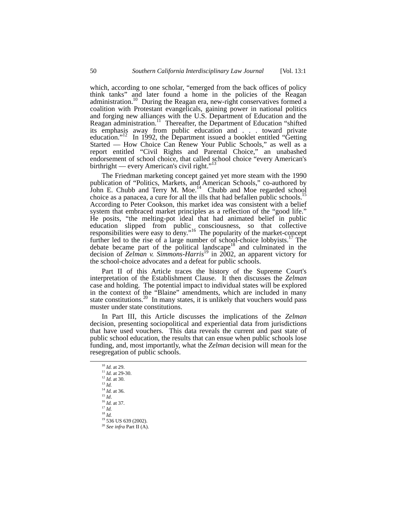which, according to one scholar, "emerged from the back offices of policy think tanks" and later found a home in the policies of the Reagan administration.<sup>10</sup> During the Reagan era, new-right conservatives formed a coalition with Protestant evangelicals, gaining power in national politics and forging new alliances with the U.S. Department of Education and the Reagan administration.<sup>11</sup> Thereafter, the Department of Education "shifted" its emphasis away from public education and . . . toward private education."<sup>12</sup> In 1992, the Department issued a booklet entitled "Getting" Started — How Choice Can Renew Your Public Schools," as well as a report entitled "Civil Rights and Parental Choice," an unabashed endorsement of school choice, that called school choice "every American's birthright — every American's civil right."<sup>[13](#page-1-3)</sup>

The Friedman marketing concept gained yet more steam with the 1990 publication of "Politics, Markets, and American Schools," co-authored by John E. Chubb and Terry M. Moe.<sup>14</sup> Chubb and Moe regarded school choice as a panacea, a cure for all the ills that had befallen public schools.<sup>15</sup> According to Peter Cookson, this market idea was consistent with a belief system that embraced market principles as a reflection of the "good life." He posits, "the melting-pot ideal that had animated belief in public education slipped from public consciousness, so that collective responsibilities were easy to deny."<sup>16</sup> The popularity of the market-concept further led to the rise of a large number of school-choice lobbyists.<sup>17</sup> The debate became part of the political landscape<sup>18</sup> and culminated in the decision of *Zelman v. Simmons-Harris*[19](#page-1-9) in 2002, an apparent victory for the school-choice advocates and a defeat for public schools.

Part II of this Article traces the history of the Supreme Court's interpretation of the Establishment Clause. It then discusses the *Zelman* case and holding. The potential impact to individual states will be explored in the context of the "Blaine" amendments, which are included in many state constitutions.<sup>20</sup> In many states, it is unlikely that vouchers would pass muster under state constitutions.

In Part III, this Article discusses the implications of the *Zelman* decision, presenting sociopolitical and experiential data from jurisdictions that have used vouchers. This data reveals the current and past state of public school education, the results that can ensue when public schools lose funding, and, most importantly, what the *Zelman* decision will mean for the resegregation of public schools.

<span id="page-1-8"></span><sup>18</sup> *Id.*

<span id="page-1-0"></span> <sup>10</sup> *Id.* at 29.

<span id="page-1-1"></span><sup>11</sup> *Id.* at 29-30.

<span id="page-1-2"></span><sup>12</sup> *Id.* at 30. <sup>13</sup> *Id.*

<span id="page-1-3"></span>

<span id="page-1-4"></span> $\frac{14}{15}$  *Id.* at 36.

<span id="page-1-6"></span><span id="page-1-5"></span><sup>15</sup> *Id*. 16 *Id.* at 37.

<span id="page-1-7"></span> $^{17}$  *Id.* 

<span id="page-1-9"></span> $19$  536 US 639 (2002).

<span id="page-1-10"></span><sup>20</sup> *See infra* Part II (A).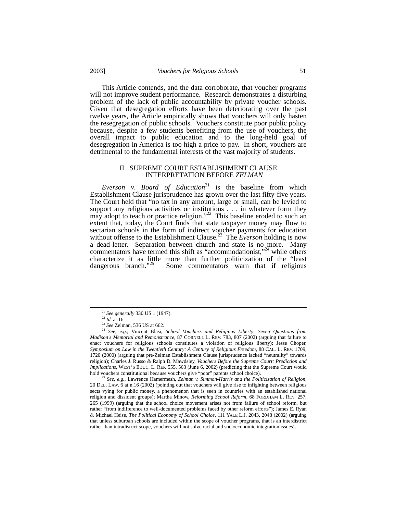This Article contends, and the data corroborate, that voucher programs will not improve student performance. Research demonstrates a disturbing problem of the lack of public accountability by private voucher schools. Given that desegregation efforts have been deteriorating over the past twelve years, the Article empirically shows that vouchers will only hasten the resegregation of public schools. Vouchers constitute poor public policy because, despite a few students benefiting from the use of vouchers, the overall impact to public education and to the long-held goal of desegregation in America is too high a price to pay. In short, vouchers are detrimental to the fundamental interests of the vast majority of students.

# II. SUPREME COURT ESTABLISHMENT CLAUSE INTERPRETATION BEFORE *ZELMAN*

*Everson v. Board of Education*<sup>21</sup> is the baseline from which Establishment Clause jurisprudence has grown over the last fifty-five years. The Court held that "no tax in any amount, large or small, can be levied to support any religious activities or institutions . . . in whatever form they may adopt to teach or practice religion."<sup>22</sup> This baseline eroded to such an extent that, today, the Court finds that state taxpayer money may flow to sectarian schools in the form of indirect voucher payments for education without offense to the Establishment Clause.<sup>23</sup> The *Everson* holding is now a dead-letter. Separation between church and state is no more. Many commentators have termed this shift as "accommodationist,"<sup>24</sup> while others characterize it as little more than further politicization of the "least dangerous branch."<sup>25</sup> Some commentators warn that if religious Some commentators warn that if religious

<span id="page-2-0"></span><sup>&</sup>lt;sup>21</sup> *See generally* 330 US 1 (1947).<br><sup>22</sup> *Id.* at 16.

<span id="page-2-1"></span>

<span id="page-2-3"></span><span id="page-2-2"></span><sup>22</sup> *Id.* at 16. 23 *See* Zelman, 536 US at 662.

<sup>24</sup> *See, e.g.*, Vincent Blasi, *School Vouchers and Religious Liberty: Seven Questions from Madison's Memorial and Remonstrance*, 87 CORNELL L. REV. 783, 807 (2002) (arguing that failure to enact vouchers for religious schools constitutes a violation of religious liberty); Jesse Choper, *Symposium on Law in the Twentieth Century: A Century of Religious Freedom*, 88 CAL. L. REV. 1709, 1720 (2000) (arguing that pre-Zelman Establishment Clause jurisprudence lacked "neutrality" towards religion); Charles J. Russo & Ralph D. Mawdsley, *Vouchers Before the Supreme Court: Prediction and Implications*, WEST'S EDUC. L. REP. 555, 563 (June 6, 2002) (predicting that the Supreme Court would hold vouchers constitutional because vouchers give "poor" parents school choice). 25 *See, e.g.*, Lawrence Hamermesh, *Zelman v. Simmon-Harris and the Politicization of Religion*,

<span id="page-2-4"></span><sup>20</sup> DEL. LAW. 6 at n.16 (2002) (pointing out that vouchers will give rise to infighting between religious sects vying for public money, a phenomenon that is seen in countries with an established national religion and dissident groups); Martha Minow, *Reforming School Reform*, 68 FORDHAM L. REV. 257, 265 (1999) (arguing that the school choice movement arises not from failure of school reform, but rather "from indifference to well-documented problems faced by other reform efforts"); James E. Ryan & Michael Heise, *The Political Economy of School Choice*, 111 YALE L.J. 2043, 2048 (2002) (arguing that unless suburban schools are included within the scope of voucher programs, that is an interdistrict rather than intradistrict scope, vouchers will not solve racial and socioeconomic integration issues).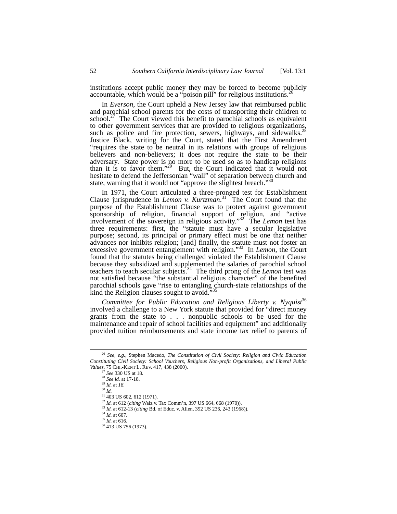institutions accept public money they may be forced to become publicly accountable, which would be a "poison pill" for religious institutions.<sup>[26](#page-3-0)</sup>

In *Everson*, the Court upheld a New Jersey law that reimbursed public and parochial school parents for the costs of transporting their children to school.<sup>27</sup> The Court viewed this benefit to parochial schools as equivalent to other government services that are provided to religious organizations, such as police and fire protection, sewers, highways, and sidewalks.<sup>28</sup> Justice Black, writing for the Court, stated that the First Amendment "requires the state to be neutral in its relations with groups of religious believers and non-believers; it does not require the state to be their adversary. State power is no more to be used so as to handicap religions than it is to favor them."<sup>29</sup> But, the Court indicated that it would not hesitate to defend the Jeffersonian "wall" of separation between church and state, warning that it would not "approve the slightest breach."<sup>[30](#page-3-4)</sup>

In 1971, the Court articulated a three-pronged test for Establishment Clause jurisprudence in *Lemon v. Kurtzman*. [31](#page-3-5) The Court found that the purpose of the Establishment Clause was to protect against government sponsorship of religion, financial support of religion, and "active involvement of the sovereign in religious activity."[32](#page-3-6) The *Lemon* test has three requirements: first, the "statute must have a secular legislative purpose; second, its principal or primary effect must be one that neither advances nor inhibits religion; [and] finally, the statute must not foster an excessive government entanglement with religion."[33](#page-3-7) In *Lemon*, the Court found that the statutes being challenged violated the Establishment Clause because they subsidized and supplemented the salaries of parochial school teachers to teach secular subjects.<sup>34</sup> The third prong of the *Lemon* test was not satisfied because "the substantial religious character" of the benefited parochial schools gave "rise to entangling church-state relationships of the kind the Religion clauses sought to avoid."

*Committee for Public Education and Religious Liberty v. Nyquist* [36](#page-3-10) involved a challenge to a New York statute that provided for "direct money grants from the state to . . . nonpublic schools to be used for the maintenance and repair of school facilities and equipment" and additionally provided tuition reimbursements and state income tax relief to parents of

<span id="page-3-0"></span> <sup>26</sup> *See, e.g.*, Stephen Macedo, *The Constitution of Civil Society: Religion and Civic Education Constituting Civil Society: School Vouchers, Religious Non-profit Organizations, and Liberal Public Values, 75 CHI.-KENT L. REV. 417, 438 (2000).*<br><sup>27</sup> *See 330 US at 18.* 

<span id="page-3-1"></span>

<span id="page-3-2"></span><sup>&</sup>lt;sup>28</sup> *See id.* at 17-18.

<span id="page-3-3"></span><sup>29</sup> *Id.* at *18.*

<span id="page-3-4"></span><sup>30</sup> *Id.*

<span id="page-3-5"></span> $31$  403 US 602, 612 (1971).

<span id="page-3-6"></span><sup>32</sup> *Id.* at 612 (*citing* Walz v. Tax Comm'n, 397 US 664, 668 (1970)).

<span id="page-3-7"></span><sup>33</sup> *Id.* at 612-13 (*citing* Bd. of Educ. v. Allen, 392 US 236, 243 (1968)).

<span id="page-3-8"></span><sup>34</sup> *Id.* at 607.

<span id="page-3-9"></span><sup>35</sup> *Id.* at 616.

<span id="page-3-10"></span><sup>36 413</sup> US 756 (1973).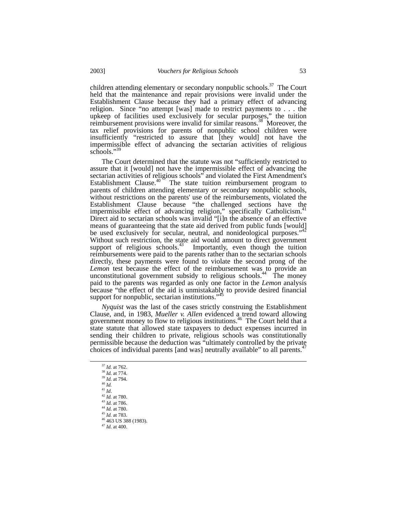children attending elementary or secondary nonpublic schools.<sup>37</sup> The Court held that the maintenance and repair provisions were invalid under the Establishment Clause because they had a primary effect of advancing religion. Since "no attempt [was] made to restrict payments to . . . the upkeep of facilities used exclusively for secular purposes," the tuition reimbursement provisions were invalid for similar reasons.<sup>38</sup> Moreover, the tax relief provisions for parents of nonpublic school children were insufficiently "restricted to assure that [they would] not have the impermissible effect of advancing the sectarian activities of religious schools."<sup>3</sup>

The Court determined that the statute was not "sufficiently restricted to assure that it [would] not have the impermissible effect of advancing the sectarian activities of religious schools<sup> $\overline{r}$ </sup> and violated the First Amendment's Establishment Clause.<sup>40</sup> The state tuition reimbursement program to The state tuition reimbursement program to parents of children attending elementary or secondary nonpublic schools, without restrictions on the parents' use of the reimbursements, violated the Establishment Clause because "the challenged sections have the impermissible effect of advancing religion," specifically Catholicism.<sup>41</sup> Direct aid to sectarian schools was invalid "[i]n the absence of an effective means of guaranteeing that the state aid derived from public funds [would] be used exclusively for secular, neutral, and nonideological purposes.' Without such restriction, the state aid would amount to direct government support of religious schools. $43$  Importantly, even though the tuition reimbursements were paid to the parents rather than to the sectarian schools directly, these payments were found to violate the second prong of the *Lemon* test because the effect of the reimbursement was to provide an unconstitutional government subsidy to religious schools.<sup>44</sup> The money paid to the parents was regarded as only one factor in the *Lemon* analysis because "the effect of the aid is unmistakably to provide desired financial support for nonpublic, sectarian institutions."<sup>45</sup>

*Nyquist* was the last of the cases strictly construing the Establishment Clause, and, in 1983, *Mueller v. Allen* evidenced a trend toward allowing government money to flow to religious institutions.<sup>46</sup> The Court held that a state statute that allowed state taxpayers to deduct expenses incurred in sending their children to private, religious schools was constitutionally permissible because the deduction was "ultimately controlled by the private choices of individual parents [and was] neutrally available" to all parents.<sup>47</sup>

- <span id="page-4-0"></span>37 *Id.* at 762.
- <span id="page-4-1"></span><sup>38</sup> *Id.* at 774. <sup>39</sup> *Id.* at 794.
- <span id="page-4-3"></span><span id="page-4-2"></span>
- $\stackrel{40}{\scriptstyle 41}$   $\stackrel{Id.}{\scriptstyle Id.}$
- <span id="page-4-5"></span><span id="page-4-4"></span>
- <sup>41</sup> *Id*. 42 *Id.* at 780. <sup>43</sup> *Id.* at 786.
- <span id="page-4-7"></span><span id="page-4-6"></span><sup>44</sup> *Id.* at 780.
- <span id="page-4-8"></span><sup>45</sup> *Id.* at 783.
- <span id="page-4-9"></span>46 463 US 388 (1983).
- <span id="page-4-10"></span><sup>47</sup> *Id.* at 400.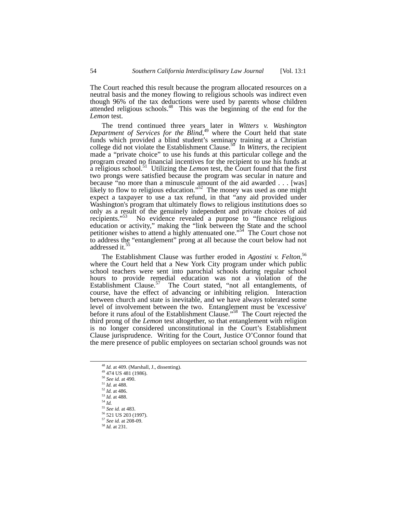The Court reached this result because the program allocated resources on a neutral basis and the money flowing to religious schools was indirect even though 96% of the tax deductions were used by parents whose children attended religious schools.<sup>48</sup> This was the beginning of the end for the *Lemon* test.

The trend continued three years later in *Witters v. Washington Department of Services for the Blind*, [49](#page-5-1) where the Court held that state funds which provided a blind student's seminary training at a Christian college did not violate the Establishment Clause.[50](#page-5-2) In *Witters*, the recipient made a "private choice" to use his funds at this particular college and the program created no financial incentives for the recipient to use his funds at a religious school.<sup>51</sup> Utilizing the *Lemon* test, the Court found that the first two prongs were satisfied because the program was secular in nature and because "no more than a minuscule amount of the aid awarded . . . [was] likely to flow to religious education."<sup>52</sup> The money was used as one might expect a taxpayer to use a tax refund, in that "any aid provided under Washington's program that ultimately flows to religious institutions does so only as a result of the genuinely independent and private choices of aid recipients."<sup>[53](#page-5-5)</sup> No evidence revealed a purpose to "finance religious education or activity," making the "link between the State and the school petitioner wishes to attend a highly attenuated one."[54](#page-5-6) The Court chose not to address the "entanglement" prong at all because the court below had not addressed it.<sup>5</sup>

The Establishment Clause was further eroded in *Agostini v. Felton,* [56](#page-5-8) where the Court held that a New York City program under which public school teachers were sent into parochial schools during regular school hours to provide remedial education was not a violation of the Establishment Clause.<sup>57</sup> The Court stated, "not all entanglements, of course, have the effect of advancing or inhibiting religion. Interaction between church and state is inevitable, and we have always tolerated some level of involvement between the two. Entanglement must be 'excessive' before it runs afoul of the Establishment Clause."[58](#page-5-10) The Court rejected the third prong of the *Lemon* test altogether, so that entanglement with religion is no longer considered unconstitutional in the Court's Establishment Clause jurisprudence. Writing for the Court, Justice O'Connor found that the mere presence of public employees on sectarian school grounds was not

<span id="page-5-0"></span> <sup>48</sup> *Id.* at 409. (Marshall, J., dissenting).

<span id="page-5-1"></span><sup>49 474</sup> US 481 (1986).

<span id="page-5-2"></span><sup>50</sup> *See id.* at 490.

<span id="page-5-3"></span><sup>51</sup> *Id.* at 488.

<span id="page-5-4"></span> $\frac{52}{1}$ *Id.* at 486.

<span id="page-5-5"></span><sup>53</sup> *Id.* at 488.

<span id="page-5-6"></span> $^{54}$  *Id.* 

<span id="page-5-7"></span><sup>55</sup> *See id.* at 483.

<span id="page-5-8"></span><sup>&</sup>lt;sup>56</sup> 521 US 203 (1997).

<span id="page-5-9"></span><sup>57</sup> *See id.* at 208-09.

<span id="page-5-10"></span><sup>58</sup> *Id.* at 231.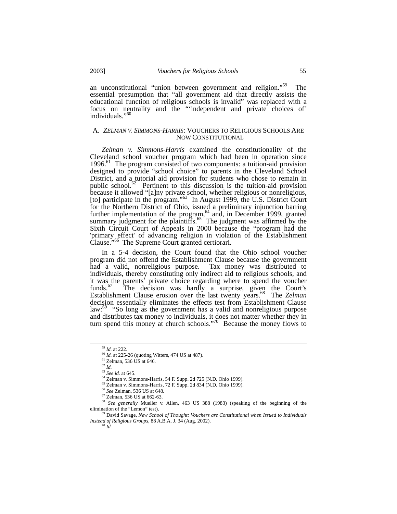an unconstitutional "union between government and religion."<sup>59</sup> The essential presumption that "all government aid that directly assists the educational function of religious schools is invalid" was replaced with a focus on neutrality and the "'independent and private choices of' individuals."<sup>[60](#page-6-1)</sup>

#### A. *ZELMAN V. SIMMONS-HARRIS*: VOUCHERS TO RELIGIOUS SCHOOLS ARE NOW CONSTITUTIONAL

*Zelman v. Simmons-Harris* examined the constitutionality of the Cleveland school voucher program which had been in operation since 1996. [61](#page-6-2) The program consisted of two components: a tuition-aid provision designed to provide "school choice" to parents in the Cleveland School District, and a tutorial aid provision for students who chose to remain in public school. [62](#page-6-3) Pertinent to this discussion is the tuition-aid provision because it allowed "[a]ny private school, whether religious or nonreligious, [to] participate in the program."<sup>63</sup> In August 1999, the U.S. District Court for the Northern District of Ohio, issued a preliminary injunction barring further implementation of the program, [64](#page-6-5) and, in December 1999, granted summary judgment for the plaintiffs.<sup>[65](#page-6-6) The</sup> judgment was affirmed by the Sixth Circuit Court of Appeals in 2000 because the "program had the 'primary effect' of advancing religion in violation of the Establishment Clause."<sup>66</sup> The Supreme Court granted certiorari.

In a 5-4 decision, the Court found that the Ohio school voucher program did not offend the Establishment Clause because the government had a valid, nonreligious purpose. Tax money was distributed to individuals, thereby constituting only indirect aid to religious schools, and it was the parents' private choice regarding where to spend the voucher funds.<sup>67</sup> The decision was hardly a surprise, given the Court's Establishment Clause erosion over the last twenty years.<sup>68</sup> The *Zelman* decision essentially eliminates the effects test from Establishment Clause law: $^{69}$  "So long as the government has a valid and nonreligious purpose and distributes tax money to individuals, it does not matter whether they in turn spend this money at church schools."[70](#page-6-11) Because the money flows to

<span id="page-6-0"></span> <sup>59</sup> *Id.* at 222.

<span id="page-6-1"></span><sup>60</sup> *Id.* at 225-26 (quoting Witters, 474 US at 487). 61 Zelman, 536 US at 646.

<span id="page-6-2"></span>

<span id="page-6-3"></span><sup>62</sup> *Id.*

<span id="page-6-4"></span><sup>63</sup> *See id.* at 645.

<span id="page-6-5"></span><sup>64</sup> Zelman v. Simmons-Harris, 54 F. Supp. 2d 725 (N.D. Ohio 1999).

<span id="page-6-6"></span><sup>65</sup> Zelman v. Simmons-Harris, 72 F. Supp. 2d 834 (N.D. Ohio 1999).

<span id="page-6-7"></span><sup>66</sup> *See* Zelman, 536 US at 648.

<span id="page-6-9"></span><span id="page-6-8"></span><sup>67</sup> Zelman, 536 US at 662-63.

<sup>&</sup>lt;sup>68</sup> *See generally* Mueller v. Allen, 463 US 388 (1983) (speaking of the beginning of the elimination of the "Lemon" test).

<span id="page-6-11"></span><span id="page-6-10"></span><sup>69</sup> David Savage, *New School of Thought: Vouchers are Constitutional when Issued to Individuals Instead of Religious Groups*, 88 A.B.A. J. 34 (Aug. 2002).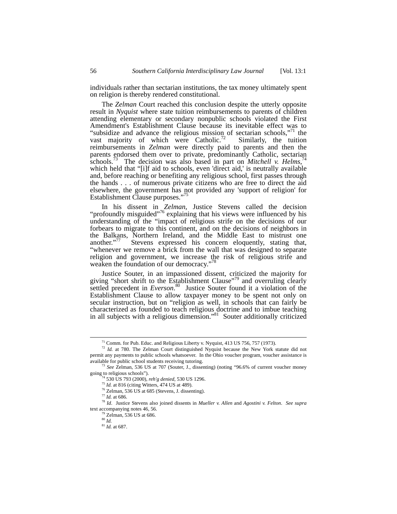individuals rather than sectarian institutions, the tax money ultimately spent on religion is thereby rendered constitutional.

The *Zelman* Court reached this conclusion despite the utterly opposite result in *Nyquist* where state tuition reimbursements to parents of children attending elementary or secondary nonpublic schools violated the First Amendment's Establishment Clause because its inevitable effect was to "subsidize and advance the religious mission of sectarian schools,"<sup>71</sup> the vast majority of which were Catholic.<sup>72</sup> Similarly, the tuition reimbursements in *Zelman* were directly paid to parents and then the parents endorsed them over to private, predominantly Catholic, sectarian schools.<sup>73</sup> The decision was also based in part on *Mitchell v. Helms*,<sup>[74](#page-7-3)</sup> which held that "[i]f aid to schools, even 'direct aid,' is neutrally available and, before reaching or benefiting any religious school, first passes through the hands . . . of numerous private citizens who are free to direct the aid elsewhere, the government has not provided any 'support of religion' for Establishment Clause purposes."[75](#page-7-4)

In his dissent in *Zelman*, Justice Stevens called the decision "profoundly misguided"<sup>76</sup> explaining that his views were influenced by his understanding of the "impact of religious strife on the decisions of our forbears to migrate to this continent, and on the decisions of neighbors in the Balkans, Northern Ireland, and the Middle East to mistrust one another."<sup>77</sup> Stevens expressed his concern eloquently, stating that, "whenever we remove a brick from the wall that was designed to separate religion and government, we increase the risk of religious strife and weaken the foundation of our democracy.'

Justice Souter, in an impassioned dissent, criticized the majority for giving "short shrift to the Establishment Clause"<sup>79</sup> and overruling clearly settled precedent in *Everson*. [80](#page-7-9) Justice Souter found it a violation of the Establishment Clause to allow taxpayer money to be spent not only on secular instruction, but on "religion as well, in schools that can fairly be characterized as founded to teach religious doctrine and to imbue teaching in all subjects with a religious dimension."<sup>81</sup> Souter additionally criticized

<span id="page-7-1"></span><span id="page-7-0"></span> $71$  Comm. for Pub. Educ. and Religious Liberty v. Nyquist, 413 US 756, 757 (1973).

<sup>&</sup>lt;sup>72</sup> *Id.* at 780. The Zelman Court distinguished Nyquist because the New York statute did not permit any payments to public schools whatsoever. In the Ohio voucher program, voucher assistance is

available for public school students receiving tutoring. 73 *See* Zelman, 536 US at 707 (Souter, J., dissenting) (noting "96.6% of current voucher money going to religious schools").

<span id="page-7-2"></span><sup>74 530</sup> US 793 (2000), *reh'g denied,* 530 US 1296.

<span id="page-7-4"></span><span id="page-7-3"></span>

<span id="page-7-5"></span><sup>&</sup>lt;sup>76</sup> Zelman, 536 US at 685 (Stevens, J. dissenting).

<span id="page-7-7"></span><span id="page-7-6"></span><sup>77</sup> *Id.* at 686*.*

<sup>78</sup> *Id*. Justice Stevens also joined dissents in *Mueller v. Allen* and *Agostini v. Felton*. *See supra* text accompanying notes 46, 56.<br><sup>79</sup> Zelman, 536 US at 686.

<span id="page-7-9"></span><span id="page-7-8"></span><sup>80</sup> *Id.*

<span id="page-7-10"></span><sup>81</sup> *Id.* at 687.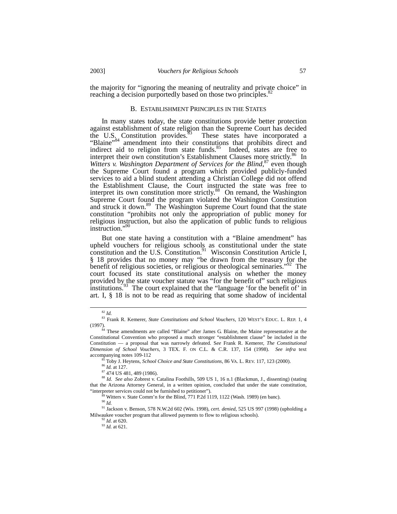the majority for "ignoring the meaning of neutrality and private choice" in reaching a decision purportedly based on those two principles.<sup>81</sup>

#### B. ESTABLISHMENT PRINCIPLES IN THE STATES

In many states today, the state constitutions provide better protection against establishment of state religion than the Supreme Court has decided the U.S. Constitution provides.<sup>83</sup> These states have incorporated a "Blaine"<sup>84</sup> amendment into their constitutions that prohibits direct and indirect aid to religion from state funds. $85$  Indeed, states are free to interpret their own constitution's Establishment Clauses more strictly.<sup>86</sup> In *Witters v. Washington Department of Services for the Blind*, [87](#page-8-5) even though the Supreme Court found a program which provided publicly-funded services to aid a blind student attending a Christian College did not offend the Establishment Clause, the Court instructed the state was free to interpret its own constitution more strictly.<sup>88</sup> On remand, the Washington Supreme Court found the program violated the Washington Constitution and struck it down.<sup>89</sup> The Washington Supreme Court found that the state constitution "prohibits not only the appropriation of public money for religious instruction, but also the application of public funds to religious instruction."[90](#page-8-8)

But one state having a constitution with a "Blaine amendment" has upheld vouchers for religious schools as constitutional under the state constitution and the U.S. Constitution.<sup>[91](#page-8-9)</sup> Wisconsin Constitution Article I, § 18 provides that no money may "be drawn from the treasury for the benefit of religious societies, or religious or theological seminaries.<sup>"92</sup> The court focused its state constitutional analysis on whether the money provided by the state voucher statute was "for the benefit of" such religious institutions.<sup>93</sup> The court explained that the "language 'for the benefit of' in art. I, § 18 is not to be read as requiring that some shadow of incidental

<span id="page-8-1"></span><span id="page-8-0"></span> <sup>82</sup> *Id.*

<sup>83</sup> Frank R. Kemerer, *State Constitutions and School Vouchers*, 120 WEST'S EDUC. L. REP. 1, 4 (1997).

<span id="page-8-2"></span><sup>&</sup>lt;sup>84</sup> These amendments are called "Blaine" after James G. Blaine, the Maine representative at the Constitutional Convention who proposed a much stronger "establishment clause" be included in the Constitution — a proposal that was narrowly defeated. S*ee* Frank R. Kemerer, *The Constitutional Dimension of School Vouchers*, 3 TEX. F. ON C.L. & C.R. 137, 154 (1998). *See infra* text

<span id="page-8-3"></span>Toby J. Heytens, *School Choice and State Constitutions*, 86 VA. L. REV. 117, 123 (2000).

<span id="page-8-4"></span><sup>86</sup> *Id.* at 127.

<span id="page-8-6"></span><span id="page-8-5"></span><sup>87 474</sup> US 481, 489 (1986).

<sup>88</sup> *Id*. *See also* Zobrest v. Catalina Foothills, 509 US 1, 16 n.1 (Blackmun, J., dissenting) (stating that the Arizona Attorney General, in a written opinion, concluded that under the state constitution, "interpreter services could not be furnished to petitioner"). 89 Witters v. State Comm'n for the Blind, 771 P.2d 1119, 1122 (Wash. 1989) (en banc). 90 *Id.*

<span id="page-8-7"></span>

<span id="page-8-9"></span><span id="page-8-8"></span>

<sup>91</sup> Jackson v. Benson, 578 N.W.2d 602 (Wis. 1998), *cert. denied*, 525 US 997 (1998) (upholding a Milwaukee voucher program that allowed payments to flow to religious schools).

<span id="page-8-10"></span><sup>92</sup> *Id*. at 620.

<span id="page-8-11"></span><sup>93</sup> *Id.* at 621.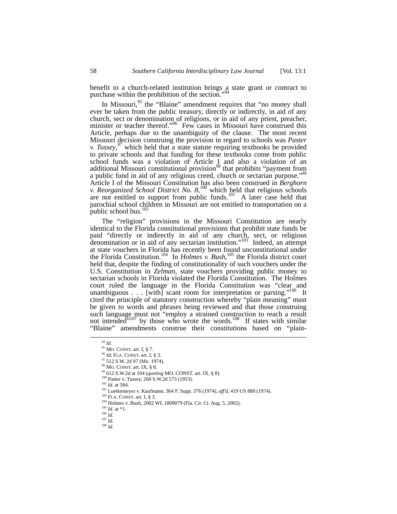benefit to a church-related institution brings  $a$  state grant or contract to purchase within the prohibition of the section."

In Missouri,<sup>95</sup> the "Blaine" amendment requires that "no money shall ever be taken from the public treasury, directly or indirectly, in aid of any church, sect or denomination of religions, or in aid of any priest, preacher, church, sect or denomination of religions, or in aid of any priest, preacher, minister or teacher thereof.["](#page-9-2) 96 Few cases in Missouri have construed this Article, perhaps due to the unambiguity of the clause. The most recent Missouri decision construing the provision in regard to schools was *Paster v. Tussey*, [97](#page-9-3) which held that a state statute requiring textbooks be provided to private schools and that funding for these textbooks come from public school funds was a violation of Article I and also a violation of an additional Missouri constitutional provision<sup>98</sup> that prohibits "payment from a public fund in aid of any religious creed, church or sectarian purpose.["99](#page-9-5)  Article I of the Missouri Constitution has also been construed in *Berghorn v. Reorganized School District No. 8*, [100](#page-9-6) which held that religious schools are not entitled to support from public funds.<sup>101</sup> A later case held that parochial school children in Missouri are not entitled to transportation on a public school bus. $102$ 

The "religion" provisions in the Missouri Constitution are nearly identical to the Florida constitutional provisions that prohibit state funds be paid "directly or indirectly in aid of any church, sect, or religious denomination or in aid of any sectarian institution."<sup>103</sup> Indeed, an attempt at state vouchers in Florida has recently been found unconstitutional under the Florida Constitution.<sup>104</sup> In *Holmes v. Bush*,<sup>105</sup> the Florida district court held that, despite the finding of constitutionality of such vouchers under the U.S. Constitution in *Zelman*, state vouchers providing public money to sectarian schools in Florida violated the Florida Constitution. The Holmes court ruled the language in the Florida Constitution was "clear and unambiguous . . . [with] scant room for interpretation or parsing."<sup>106</sup> It cited the principle of statutory construction whereby "plain meaning" must be given to words and phrases being reviewed and that those construing such language must not "employ a strained construction to reach a result not intended"<sup>107</sup> by those who wrote the words.<sup>108</sup> If states with similar "Blaine" amendments construe their constitutions based on "plain-

<span id="page-9-0"></span> <sup>94</sup> *Id.*

<span id="page-9-1"></span> $95$  MO. CONST. art. I, § 7.

<span id="page-9-2"></span><sup>96</sup> *Id*; FLA. CONST. art. I, § 3.

<span id="page-9-3"></span><sup>97 512</sup> S.W. 2d 97 (Mo. 1974). 98 MO. CONST. art. IX, § 8.

<span id="page-9-5"></span><span id="page-9-4"></span>

<sup>99 612</sup> S.W.2d at 104 (*quoting* MO. CONST. art. IX, § 8).

<span id="page-9-6"></span><sup>&</sup>lt;sup>100</sup> Paster v. Tussey, 260 S.W.2d 573 (1953).

<span id="page-9-7"></span><sup>101</sup> *Id.* at 584.

<span id="page-9-8"></span><sup>102</sup> Luetkemeyer v. Kaufmann, 364 F. Supp. 376 (1974), *aff'd,* 419 US 888 (1974).

<span id="page-9-9"></span><sup>103</sup> FLA. CONST. art. I, § 3.

<span id="page-9-10"></span><sup>104</sup> Holmes v. Bush, 2002 WL 1809079 (Fla. Cir. Ct. Aug. 5, 2002).

<span id="page-9-11"></span> $105$  *Id.* at \*1. <sup>106</sup> *Id.*

<span id="page-9-13"></span><span id="page-9-12"></span>

<sup>107</sup> *Id.* <sup>108</sup> *Id.*

<span id="page-9-14"></span>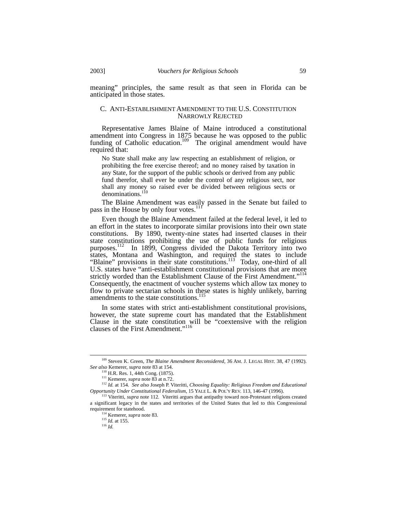meaning" principles, the same result as that seen in Florida can be anticipated in those states.

#### C. ANTI-ESTABLISHMENT AMENDMENT TO THE U.S. CONSTITUTION NARROWLY REJECTED

Representative James Blaine of Maine introduced a constitutional amendment into Congress in 1875 because he was opposed to the public funding of Catholic education.<sup>109</sup> The original amendment would have required that:

No State shall make any law respecting an establishment of religion, or prohibiting the free exercise thereof; and no money raised by taxation in any State, for the support of the public schools or derived from any public fund therefor, shall ever be under the control of any religious sect, nor shall any money so raised ever be divided between religious sects or denominations.<sup>[110](#page-10-1)</sup>

The Blaine Amendment was easily passed in the Senate but failed to pass in the House by only four votes.<sup>1</sup>

Even though the Blaine Amendment failed at the federal level, it led to an effort in the states to incorporate similar provisions into their own state constitutions. By 1890, twenty-nine states had inserted clauses in their state constitutions prohibiting the use of public funds for religious purposes.<sup>112</sup> In 1899, Congress divided the Dakota Territory into two states, Montana and Washington, and required the states to include "Blaine" provisions in their state constitutions.<sup>113</sup> Today, one-third of all U.S. states have "anti-establishment constitutional provisions that are more strictly worded than the Establishment Clause of the First Amendment."<sup>114</sup> Consequently, the enactment of voucher systems which allow tax money to flow to private sectarian schools in these states is highly unlikely, barring amendments to the state constitutions.<sup>[115](#page-10-6)</sup>

In some states with strict anti-establishment constitutional provisions, however, the state supreme court has mandated that the Establishment Clause in the state constitution will be "coextensive with the religion clauses of the First Amendment."<sup>[116](#page-10-7)</sup>

 <sup>109</sup> Steven K. Green, *The Blaine Amendment Reconsidered*, 36 AM. J. LEGAL HIST. 38, 47 (1992). *See also* Kemerer, *supra* note 83 at 154.

<span id="page-10-1"></span><span id="page-10-0"></span><sup>110</sup> H.R. Res. 1, 44th Cong. (1875).

<span id="page-10-3"></span><span id="page-10-2"></span><sup>111</sup> Kemerer, *supra* note 83 at n.72.

<sup>112</sup> *Id.* at 154. *See also* Joseph P. Viteritti, *Choosing Equality: Religious Freedom and Educational Opportunity Under Constitutional Federalism*, 15 YALE L. & POL'Y REV. 113, 146-47 (1996).

<span id="page-10-4"></span><sup>&</sup>lt;sup>113</sup> Viteritti, *supra* note 112. Viteritti argues that antipathy toward non-Protestant religions created a significant legacy in the states and territories of the United States that led to this Congressional requirement for statehood.

<span id="page-10-5"></span><sup>114</sup> Kemerer, *supra* note 83.

<span id="page-10-6"></span><sup>115</sup> *Id.* at 155.

<span id="page-10-7"></span><sup>116</sup> *Id.*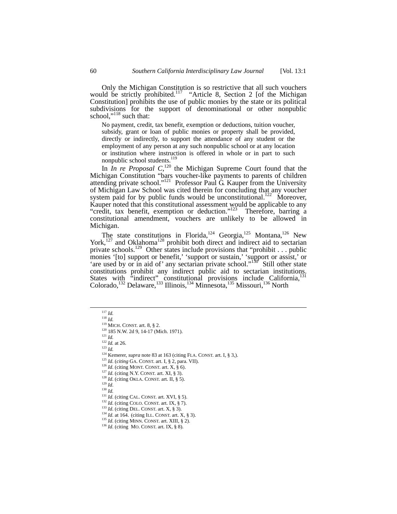Only the Michigan Constitution is so restrictive that all such vouchers would be strictly prohibited.<sup>117</sup> "Article 8, Section 2 [of the Michigan Constitution] prohibits the use of public monies by the state or its political subdivisions for the support of denominational or other nonpublic school." $118$  such that:

No payment, credit, tax benefit, exemption or deductions, tuition voucher, subsidy, grant or loan of public monies or property shall be provided, directly or indirectly, to support the attendance of any student or the employment of any person at any such nonpublic school or at any location or institution where instruction is offered in whole or in part to such nonpublic school students.<sup>[119](#page-11-2)</sup>

In *In re Proposal*  $C<sub>1</sub><sup>120</sup>$  the Michigan Supreme Court found that the Michigan Constitution "bars voucher-like payments to parents of children attending private school."<sup>121</sup> Professor Paul G. Kauper from the University of Michigan Law School was cited therein for concluding that any voucher system paid for by public funds would be unconstitutional.<sup>122</sup> Moreover, Kauper noted that this constitutional assessment would be applicable to any "credit, tax benefit, exemption or deduction."<sup>123</sup> Therefore, barring a constitutional amendment, vouchers are unlikely to be allowed in Michigan.

The state constitutions in Florida,  $124$  Georgia,  $125$  Montana,  $126$  New York,<sup>127</sup> and Oklahoma<sup>128</sup> prohibit both direct and indirect aid to sectarian private schools.<sup>129</sup> Other states include provisions that "prohibit . . . public monies '[to] support or benefit,' 'support or sustain,' 'support or assist,' or 'are used by or in aid of' any sectarian private school."<sup>130</sup> Still other state are used by or m and or any securities prohibit any indirect public aid to sectarian institutions. States with "indirect" constitutional provisions include California,<sup>[131](#page-11-14)</sup> Colorado,<sup>132</sup> Delaware,<sup>133</sup> Illinois,<sup>134</sup> Minnesota,<sup>135</sup> Missouri,<sup>136</sup> North

<span id="page-11-5"></span><span id="page-11-4"></span>

- <span id="page-11-7"></span><span id="page-11-6"></span>
- <sup>124</sup> Kemerer, *supra* note 83 at 163 (citing FLA. CONST. art. I, § 3,).<br><sup>125</sup> *Id.* (*citing* GA. CONST. art. I, § 2, para. VII).
- <span id="page-11-8"></span>
- 
- <span id="page-11-10"></span>
- <span id="page-11-11"></span>
- <span id="page-11-12"></span>

<span id="page-11-14"></span><span id="page-11-13"></span>

- <span id="page-11-16"></span><span id="page-11-15"></span>
- 132 *Id.* (citing COLO. CONST. art. IX, § 7). <sup>133</sup> *Id.* (citing DEL. CONST. art. X, § 3). <sup>134</sup> *Id.* at 164. (citing ILL. CONST. art. X, § 3).
- <span id="page-11-17"></span>
- <span id="page-11-18"></span><sup>135</sup> *Id.* (citing MINN. CONST. art. XIII, § 2). <sup>136</sup> *Id.* (citing MO. CONST. art. IX, § 8).

<span id="page-11-0"></span> <sup>117</sup> *Id.* <sup>118</sup> *Id.*

<span id="page-11-2"></span><span id="page-11-1"></span>

 $119$  MICH. CONST. art. 8, § 2. <sup>120</sup> 185 N.W. 2d 9, 14-17 (Mich. 1971).

<span id="page-11-3"></span> $^{121}$  *Id.* 

 $\frac{122}{1}$  *Id.* at 26. <sup>123</sup> *Id.*

<span id="page-11-9"></span><sup>&</sup>lt;sup>126</sup> *Id.* (citing MONT. CONST. art. X, § 6).<br><sup>127</sup> *Id.* (citing N.Y. CONST. art. XI, § 3).<br><sup>128</sup> *Id.* (citing OKLA. CONST. art. II, § 5).<br><sup>129</sup> *Id.*<br><sup>130</sup> *Id.*<br><sup>130</sup> *Id.*<br><sup>131</sup> *Id.* (citing CAL. CONST. art. XVI, §

<span id="page-11-19"></span>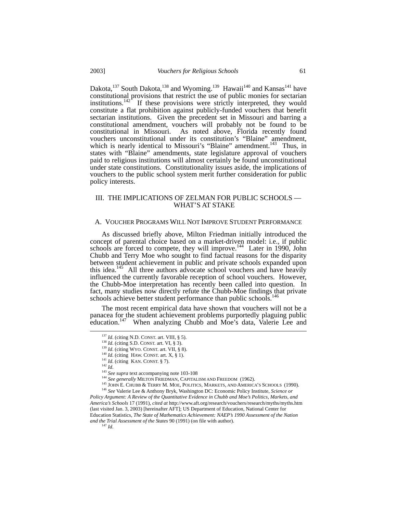Dakota,<sup>137</sup> South Dakota,<sup>138</sup> and Wyoming.<sup>139</sup> Hawaii<sup>140</sup> and Kansas<sup>141</sup> have constitutional provisions that restrict the use of public monies for sectarian institutions.<sup>142</sup> If these provisions were strictly interpreted, they would constitute a flat prohibition against publicly-funded vouchers that benefit sectarian institutions. Given the precedent set in Missouri and barring a constitutional amendment, vouchers will probably not be found to be constitutional in Missouri. As noted above, Florida recently found vouchers unconstitutional under its constitution's "Blaine" amendment, which is nearly identical to Missouri's "Blaine" amendment.<sup>143</sup> Thus, in states with "Blaine" amendments, state legislature approval of vouchers paid to religious institutions will almost certainly be found unconstitutional under state constitutions. Constitutionality issues aside, the implications of vouchers to the public school system merit further consideration for public policy interests.

# III. THE IMPLICATIONS OF ZELMAN FOR PUBLIC SCHOOLS — WHAT'S AT STAKE

## A. VOUCHER PROGRAMS WILL NOT IMPROVE STUDENT PERFORMANCE

As discussed briefly above, Milton Friedman initially introduced the concept of parental choice based on a market-driven model: i.e., if public schools are forced to compete, they will improve.<sup>144</sup> Later in 1990, John Chubb and Terry Moe who sought to find factual reasons for the disparity between student achievement in public and private schools expanded upon this idea.<sup>145</sup> All three authors advocate school vouchers and have heavily influenced the currently favorable reception of school vouchers. However, the Chubb-Moe interpretation has recently been called into question. In fact, many studies now directly refute the Chubb-Moe findings that private schools achieve better student performance than public schools.<sup>[146](#page-12-9)</sup>

The most recent empirical data have shown that vouchers will not be a panacea for the student achievement problems purportedly plaguing public education.<sup>147</sup> When analyzing Chubb and Moe's data, Valerie Lee and

<span id="page-12-10"></span>*Policy Argument: A Review of the Quantitative Evidence in Chubb and Moe's Politics, Markets, and America's Schools* 17 (1991), *cited at* http://www.aft.org/research/vouchers/research/myths/myths.htm (last visited Jan. 3, 2003) [hereinafter AFT]; US Department of Education, National Center for Education Statistics, *The State of Mathematics Achievement: NAEP's 1990 Assessment of the Nation and the Trial Assessment of the States* 90 (1991) (on file with author). <sup>147</sup> *Id*.

<span id="page-12-0"></span><sup>&</sup>lt;sup>137</sup> *Id.* (citing N.D. CONST. art. VIII, § 5).<br><sup>138</sup> *Id.* (citing S.D. CONST. art. VI, § 3).

<span id="page-12-2"></span><span id="page-12-1"></span>

<sup>139</sup> *Id.* (citing WYO. CONST. art. VII, § 8). <sup>140</sup> *Id.* (citing HAW. CONST. art. X, § 1). <sup>141</sup> *Id.* (citing *KAN. CONST.* § 7). <sup>142</sup> *Id* 

<span id="page-12-4"></span><span id="page-12-3"></span>

<span id="page-12-5"></span>

<span id="page-12-7"></span><span id="page-12-6"></span>

<sup>&</sup>lt;sup>143</sup> *See supra* text accompanying note 103-108<br><sup>144</sup> *See generally* MILTON FRIEDMAN, CAPITALISM AND FREEDOM (1962).

<span id="page-12-9"></span><span id="page-12-8"></span><sup>145</sup> JOHN E. CHUBB & TERRY M. MOE, POLITICS, MARKETS, AND AMERICA'S SCHOOLS (1990). <sup>146</sup> *See* Valerie Lee & Anthony Bryk, Washington DC: Economic Policy Institute, *Science or*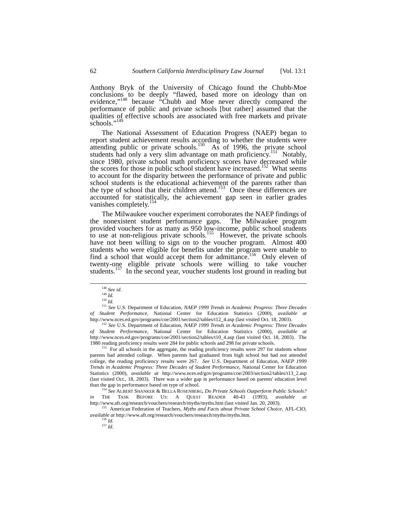Anthony Bryk of the University of Chicago found the Chubb-Moe conclusions to be deeply "flawed, based more on ideology than on evidence,"[148](#page-13-0) because "Chubb and Moe never directly compared the performance of public and private schools [but rather] assumed that the qualities of effective schools are associated with free markets and private schools."<sup>[149](#page-13-1)</sup>

The National Assessment of Education Progress (NAEP) began to report student achievement results according to whether the students were attending public or private schools.<sup>150</sup> As of 1996, the private school students had only a very slim advantage on math proficiency.<sup>151</sup> Notably, since 1980, private school math proficiency scores have decreased while since 1980, private school math proficiency scores have decreased while the scores for those in public school student have increased.<sup>152</sup> What seems to account for the disparity between the performance of private and public school students is the educational achievement of the parents rather than the type of school that their children attend.<sup>153</sup> Once these differences are accounted for statistically, the achievement gap seen in earlier grades vanishes completely.<sup>[154](#page-13-6)</sup>

The Milwaukee voucher experiment corroborates the NAEP findings of the nonexistent student performance gaps. The Milwaukee program provided vouchers for as many as 950 low-income, public school students to use at non-religious private schools.<sup>155</sup> However, the private schools have not been willing to sign on to the voucher program. Almost 400 students who were eligible for benefits under the program were unable to find a school that would accept them for admittance.<sup>156</sup> Only eleven of twenty-one eligible private schools were willing to take voucher students.<sup>157</sup> In the second year, voucher students lost ground in reading but

<span id="page-13-4"></span><sup>152</sup> *See* U.S. Department of Education, *NAEP 1999 Trends in Academic Progress: Three Decades of Student Performance*, National Center for Education Statistics (2000), *available at* http://www.nces.ed.gov/programs/coe/2001/section2/tables/t10\_4.asp (last visited Oct. 18, 2003). The 1980 reading proficiency results were 284 for public schools and 298 for private schools.

<span id="page-13-5"></span><sup>153</sup> For all schools in the aggregate, the reading proficiency results were 297 for students whose parents had attended college. When parents had graduated from high school but had not attended college, the reading proficiency results were 267. *See* U.S. Department of Education, *NAEP 1999 Trends in Academic Progress: Three Decades of Student Performance*, National Center for Education Statistics (2000), *available at* http://www.nces.ed/gov/programs/coe/2003/section2/tables/t13\_2.asp (last visited Oct., 18, 2003). There was a wider gap in performance based on parents' education level than the gap in performance based on type of school.

<span id="page-13-6"></span><sup>154</sup> *See* ALBERT SHANKER & BELLA ROSENBERG, *Do Private Schools Outperform Public Schools?* THE TASK BEFORE US: A QUEST READER 40-43 (1993), *available* http://www.aft.org/research/vouchers/research/myths/myths.htm (last visited Jan. 20, 2003).

155 American Federation of Teachers, *Myths and Facts about Private School Choice,* AFL-CIO, *available at* http://www.aft.org/research/vouchers/research/myths/myths.htm. 156 *Id*. 157 *Id*.

<span id="page-13-0"></span><sup>148</sup> *See id*. 149 *Id.*

<span id="page-13-3"></span><span id="page-13-2"></span><span id="page-13-1"></span> $150\,$   $\dot{I}$   $\!d.$ 

<sup>151</sup> *See* U.S. Department of Education, *NAEP 1999 Trends in Academic Progress: Three Decades of Student Performance*, National Center for Education Statistics (2000), *available at* http://www.nces.ed.gov/programs/coe/2001/section2/tables/t12\_4.asp (last visited Oct. 18, 2003).

<span id="page-13-8"></span><span id="page-13-7"></span>

<span id="page-13-9"></span>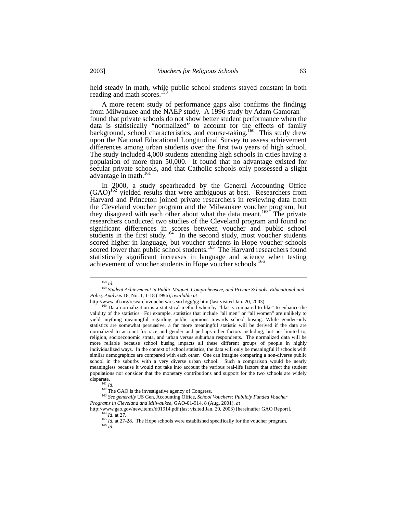held steady in math, while public school students stayed constant in both reading and math scores.<sup>15</sup>

A more recent study of performance gaps also confirms the findings from Milwaukee and the NAEP study. A 1996 study by Adam Gamoran<sup>15</sup> found that private schools do not show better student performance when the data is statistically "normalized" to account for the effects of family background, school characteristics, and course-taking.<sup>160</sup> This study drew upon the National Educational Longitudinal Survey to assess achievement differences among urban students over the first two years of high school. The study included 4,000 students attending high schools in cities having a population of more than 50,000. It found that no advantage existed for secular private schools, and that Catholic schools only possessed a slight advantage in math.<sup>[161](#page-14-3)</sup>

In 2000, a study spearheaded by the General Accounting Office  $(GAO)^{162}$  yielded results that were ambiguous at best. Researchers from Harvard and Princeton joined private researchers in reviewing data from the Cleveland voucher program and the Milwaukee voucher program, but they disagreed with each other about what the data meant.<sup>163</sup> The private researchers conducted two studies of the Cleveland program and found no significant differences in scores between voucher and public school students in the first study.<sup>164</sup> In the second study, most voucher students scored higher in language, but voucher students in Hope voucher schools scored lower than public school students.<sup>165</sup> The Harvard researchers found statistically significant increases in language and science when testing achievement of voucher students in Hope voucher schools.<sup>[166](#page-14-8)</sup>

<span id="page-14-1"></span><span id="page-14-0"></span>

<sup>&</sup>lt;sup>158</sup> *Id.*<br><sup>159</sup> Student Achievement in Public Magnet, Comprehensive, and Private Schools, Educational and *Policy Analysis* 18, No. 1, 1-18 (1996), *available at*

http://www.aft.org/research/vouchers/research/gg/gg.htm (last visited Jan. 20, 2003).

<span id="page-14-2"></span><sup>&</sup>lt;sup>160</sup> Data normalization is a statistical method whereby "like is compared to like" to enhance the validity of the statistics. For example, statistics that include "all men" or "all women" are unlikely to yield anything meaningful regarding public opinions towards school busing. While gender-only statistics are somewhat persuasive, a far more meaningful statistic will be derived if the data are normalized to account for race and gender and perhaps other factors including, but not limited to, religion, socioeconomic strata, and urban versus suburban respondents. The normalized data will be more reliable because school busing impacts all these different groups of people in highly individualized ways. In the context of school statistics, the data will only be meaningful if schools with similar demographics are compared with each other. One can imagine comparing a non-diverse public school in the suburbs with a very diverse urban school. Such a comparison would be nearly meaningless because it would not take into account the various real-life factors that affect the student populations nor consider that the monetary contributions and support for the two schools are widely

<span id="page-14-5"></span><span id="page-14-4"></span><span id="page-14-3"></span>

 $\frac{161}{161}$  *Id.*<br><sup>161</sup> *Id.* The GAO is the investigative agency of Congress.

<sup>&</sup>lt;sup>163</sup> See generally US Gen. Accounting Office, *School Vouchers: Publicly Funded Voucher Programs in Cleveland and Milwaukee*, GAO-01-914, 8 (Aug. 2001), *at*

http://www.gao.gov/new.items/d01914.pdf (last visited Jan. 20, 2003) [hereinafter GAO Report]. 164 *Id*. at 27.

<span id="page-14-7"></span><span id="page-14-6"></span><sup>&</sup>lt;sup>165</sup> *Id.* at 27-28. The Hope schools were established specifically for the voucher program.

<span id="page-14-8"></span><sup>166</sup> *Id.*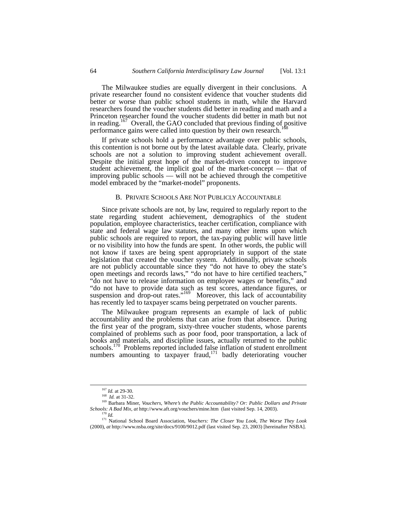The Milwaukee studies are equally divergent in their conclusions. A private researcher found no consistent evidence that voucher students did better or worse than public school students in math, while the Harvard researchers found the voucher students did better in reading and math and a Princeton researcher found the voucher students did better in math but not in reading.<sup>167</sup> Overall, the GAO concluded that previous finding of positive performance gains were called into question by their own research.

If private schools hold a performance advantage over public schools, this contention is not borne out by the latest available data. Clearly, private schools are not a solution to improving student achievement overall. Despite the initial great hope of the market-driven concept to improve student achievement, the implicit goal of the market-concept — that of improving public schools — will not be achieved through the competitive model embraced by the "market-model" proponents.

## B. PRIVATE SCHOOLS ARE NOT PUBLICLY ACCOUNTABLE

Since private schools are not, by law, required to regularly report to the state regarding student achievement, demographics of the student population, employee characteristics, teacher certification, compliance with state and federal wage law statutes, and many other items upon which public schools are required to report, the tax-paying public will have little or no visibility into how the funds are spent. In other words, the public will not know if taxes are being spent appropriately in support of the state legislation that created the voucher system. Additionally, private schools are not publicly accountable since they "do not have to obey the state's open meetings and records laws," "do not have to hire certified teachers," "do not have to release information on employee wages or benefits," and "do not have to provide data such as test scores, attendance figures, or suspension and drop-out rates."<sup>169</sup> Moreover, this lack of accountability has recently led to taxpayer scams being perpetrated on voucher parents.

The Milwaukee program represents an example of lack of public accountability and the problems that can arise from that absence. During the first year of the program, sixty-three voucher students, whose parents complained of problems such as poor food, poor transportation, a lack of books and materials, and discipline issues, actually returned to the public schools.<sup>170</sup> Problems reported included false inflation of student enrollment numbers amounting to taxpayer fraud,<sup>171</sup> badly deteriorating voucher

<span id="page-15-0"></span> <sup>167</sup> *Id.* at 29-30.

<span id="page-15-2"></span><span id="page-15-1"></span><sup>168</sup> *Id.* at 31-32.

<sup>169</sup> Barbara Miner, *Vouchers*, *Where's the Public Accountability? Or: Public Dollars and Private Schools: A Bad Mix*, *at* http://www.aft.org/vouchers/mine.htm (last visited Sep. 14, 2003). 170 *Id.*

<span id="page-15-4"></span><span id="page-15-3"></span>

<sup>171</sup> National School Board Association, *Vouchers: The Closer You Look, The Worse They Look* (2000), *at* http://www.nsba.org/site/docs/9100/9012.pdf (last visited Sep. 23, 2003) [hereinafter NSBA].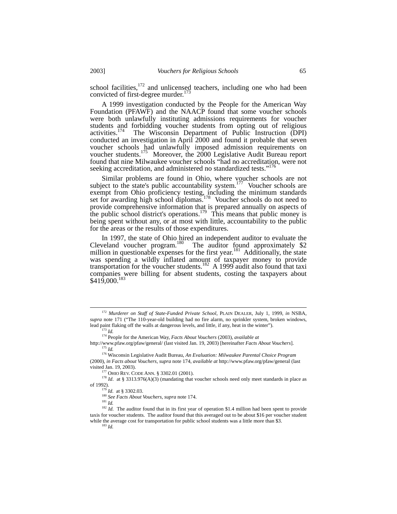school facilities, $172$  and unlicensed teachers, including one who had been convicted of first-degree murder.<sup>[173](#page-16-1)</sup>

A 1999 investigation conducted by the People for the American Way Foundation (PFAWF) and the NAACP found that some voucher schools were both unlawfully instituting admissions requirements for voucher students and forbidding voucher students from opting out of religious activities.[174](#page-16-2) The Wisconsin Department of Public Instruction (DPI) conducted an investigation in April 2000 and found it probable that seven voucher schools had unlawfully imposed admission requirements on voucher students.<sup>175</sup> Moreover, the  $2000$  Legislative Audit Bureau report found that nine Milwaukee voucher schools "had no accreditation, were not seeking accreditation, and administered no standardized tests."<sup>176</sup>

Similar problems are found in Ohio, where voucher schools are not subject to the state's public accountability system.<sup>177</sup> Voucher schools are exempt from Ohio proficiency testing, including the minimum standards set for awarding high school diplomas.<sup>178</sup> Voucher schools do not need to provide comprehensive information that is prepared annually on aspects of the public school district's operations.<sup>179</sup> This means that public money is being spent without any, or at most with little, accountability to the public for the areas or the results of those expenditures.

In 1997, the state of Ohio hired an independent auditor to evaluate the Cleveland voucher program. [180](#page-16-8) The auditor found approximately \$2 million in questionable expenses for the first year.<sup>181</sup> Additionally, the state was spending a wildly inflated amount of taxpayer money to provide transportation for the voucher students.<sup>182</sup> A 1999 audit also found that taxi companies were billing for absent students, costing the taxpayers about \$419,000. [183](#page-16-11)

<span id="page-16-0"></span> <sup>172</sup> *Murderer on Staff of State-Funded Private School*, PLAIN DEALER, July 1, 1999, *in* NSBA, *supra* note 171 ("The 110-year-old building had no fire alarm, no sprinkler system, broken windows, lead paint flaking off the walls at dangerous levels, and little, if any, heat in the winter"). 173 *Id.*

<span id="page-16-3"></span><span id="page-16-2"></span><span id="page-16-1"></span><sup>174</sup> People for the American Way, *Facts About Vouchers* (2003), *available at*

http://www.pfaw.org/pfaw/general/ (last visited Jan. 19, 2003) [hereinafter *Facts About Vouchers*]. 175 *Id.*

<span id="page-16-4"></span><sup>176</sup> Wisconsin Legislative Audit Bureau, *An Evaluation: Milwaukee Parental Choice Program*  (2000), *in Facts about Vouchers*, *supra* note 174, *available at* http://www.pfaw.org/pfaw/general (last visited Jan. 19, 2003).

<span id="page-16-6"></span><span id="page-16-5"></span><sup>177</sup> OHIO REV. CODE ANN. § 3302.01 (2001).

<sup>&</sup>lt;sup>178</sup> *Id.* at § 3313.976(A)(3) (mandating that voucher schools need only meet standards in place as of 1992).

<span id="page-16-7"></span><sup>179</sup> *Id*. at § 3302.03.

<span id="page-16-8"></span><sup>180</sup> *See Facts About Vouchers*, *supra* note 174.

<span id="page-16-10"></span><span id="page-16-9"></span><sup>181</sup> *Id.*

<span id="page-16-11"></span><sup>&</sup>lt;sup>182</sup> *Id.* The auditor found that in its first year of operation \$1.4 million had been spent to provide taxis for voucher students. The auditor found that this averaged out to be about \$16 per voucher student while the average cost for transportation for public school students was a little more than \$3. <sup>183</sup> *Id.*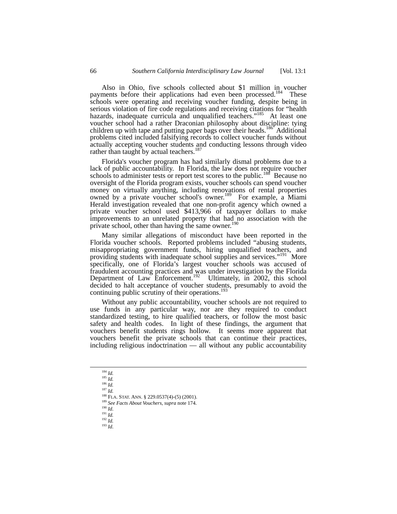Also in Ohio, five schools collected about \$1 million in voucher payments before their applications had even been processed.<sup>184</sup> These schools were operating and receiving voucher funding, despite being in serious violation of fire code regulations and receiving citations for "health hazards, inadequate curricula and unqualified teachers."<sup>185</sup> At least one voucher school had a rather Draconian philosophy about discipline: tying children up with tape and putting paper bags over their heads.<sup>186</sup> Additional problems cited included falsifying records to collect voucher funds without actually accepting voucher students and conducting lessons through video rather than taught by actual teachers.<sup>1</sup>

Florida's voucher program has had similarly dismal problems due to a lack of public accountability. In Florida, the law does not require voucher schools to administer tests or report test scores to the public.<sup>188</sup> Because no oversight of the Florida program exists, voucher schools can spend voucher money on virtually anything, including renovations of rental properties owned by a private voucher school's owner.<sup>[189](#page-17-5)</sup> For example, a Miami Herald investigation revealed that one non-profit agency which owned a private voucher school used \$413,966 of taxpayer dollars to make improvements to an unrelated property that had no association with the private school, other than having the same owner.<sup>[190](#page-17-6)</sup>

Many similar allegations of misconduct have been reported in the Florida voucher schools. Reported problems included "abusing students, misappropriating government funds, hiring unqualified teachers, and providing students with inadequate school supplies and services."<sup>191</sup> More specifically, one of Florida's largest voucher schools was accused of fraudulent accounting practices and was under investigation by the Florida Department of Law Enforcement.<sup>192</sup> Ultimately, in 2002, this school decided to halt acceptance of voucher students, presumably to avoid the continuing public scrutiny of their operations.<sup>19</sup>

Without any public accountability, voucher schools are not required to use funds in any particular way, nor are they required to conduct standardized testing, to hire qualified teachers, or follow the most basic safety and health codes. In light of these findings, the argument that vouchers benefit students rings hollow. It seems more apparent that vouchers benefit the private schools that can continue their practices, including religious indoctrination — all without any public accountability

<span id="page-17-0"></span> <sup>184</sup> *Id.*

<span id="page-17-1"></span><sup>185</sup> *Id.*

<span id="page-17-2"></span><sup>186</sup> *Id.*

<span id="page-17-3"></span><sup>187</sup> *Id.*

<span id="page-17-4"></span><sup>188</sup> FLA. STAT. ANN. § 229.0537(4)-(5) (2001). 189 *See Facts About Vouchers*, *supra* note 174.

<span id="page-17-6"></span><span id="page-17-5"></span>

<span id="page-17-7"></span><sup>190</sup> *Id*. 191 *Id.*

<sup>192</sup> *Id.*

<span id="page-17-9"></span><span id="page-17-8"></span><sup>193</sup> *Id*.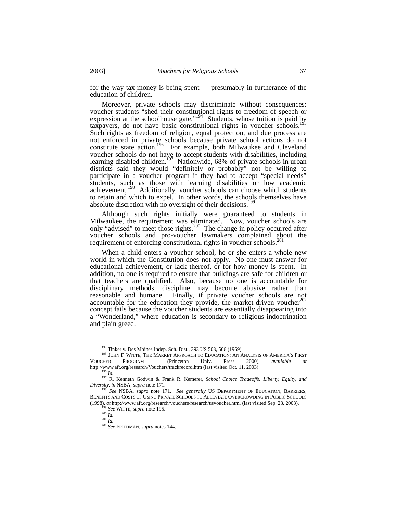for the way tax money is being spent — presumably in furtherance of the education of children.

Moreover, private schools may discriminate without consequences: voucher students "shed their constitutional rights to freedom of speech or expression at the schoolhouse gate."<sup>194</sup> Students, whose tuition is paid by taxpayers, do not have basic constitutional rights in voucher schools.<sup>195</sup> Such rights as freedom of religion, equal protection, and due process are not enforced in private schools because private school actions do not constitute state action.<sup>196</sup> For example, both Milwaukee and Cleveland voucher schools do not have to accept students with disabilities, including learning disabled children.<sup>197</sup> Nationwide, 68% of private schools in urban districts said they would "definitely or probably" not be willing to participate in a voucher program if they had to accept "special needs" students, such as those with learning disabilities or low academic achievement.<sup>198</sup> Additionally, voucher schools can choose which students to retain and which to expel. In other words, the schools themselves have absolute discretion with no oversight of their decisions.<sup>19</sup>

Although such rights initially were guaranteed to students in Milwaukee, the requirement was eliminated. Now, voucher schools are only "advised" to meet those rights.<sup>200</sup> The change in policy occurred after voucher schools and pro-voucher lawmakers complained about the requirement of enforcing constitutional rights in voucher schools.<sup>[201](#page-18-7)</sup>

When a child enters a voucher school, he or she enters a whole new world in which the Constitution does not apply. No one must answer for educational achievement, or lack thereof, or for how money is spent. In addition, no one is required to ensure that buildings are safe for children or that teachers are qualified. Also, because no one is accountable for disciplinary methods, discipline may become abusive rather than reasonable and humane. Finally, if private voucher schools are not<br>accountable for the education they provide the market driven yougher<sup>[202](#page-18-8)</sup> accountable for the education they provide, the market-driven voucher concept fails because the voucher students are essentially disappearing into a "Wonderland," where education is secondary to religious indoctrination and plain greed.

<span id="page-18-1"></span><span id="page-18-0"></span> <sup>194</sup> Tinker v. Des Moines Indep. Sch. Dist*.*, 393 US 503, 506 (1969).

<sup>&</sup>lt;sup>195</sup> JOHN F. WITTE, THE MARKET APPROACH TO EDUCATION: AN ANALYSIS OF AMERICA'S FIRST VOUCHER PROGRAM (Princeton Univ. Press 2000), *available* http://www.aft.org/research/Vouchers/trackrecord.htm (last visited Oct. 11, 2003).

<span id="page-18-3"></span><span id="page-18-2"></span><sup>196</sup> *Id.*

<sup>197</sup> R. Kenneth Godwin & Frank R. Kemerer, *School Choice Tradeoffs: Liberty, Equity, and Diversity, in* NSBA, *supra* note 171.

<span id="page-18-4"></span><sup>198</sup> *See* NSBA, *supra* note 171. *See generally* US DEPARTMENT OF EDUCATION, BARRIERS, BENEFITS AND COSTS OF USING PRIVATE SCHOOLS TO ALLEVIATE OVERCROWDING IN PUBLIC SCHOOLS (1998), *at* http://www.aft.org/research/vouchers/research/usvoucher.html (last visited Sep. 23, 2003).

<span id="page-18-5"></span><sup>&</sup>lt;sup>3</sup> See WITTE, *supra* note 195.

<span id="page-18-6"></span> $^{200}$  *Id.* <sup>201</sup> *Id.*

<span id="page-18-7"></span>

<span id="page-18-8"></span><sup>202</sup> *See* FRIEDMAN, *supra* notes 144.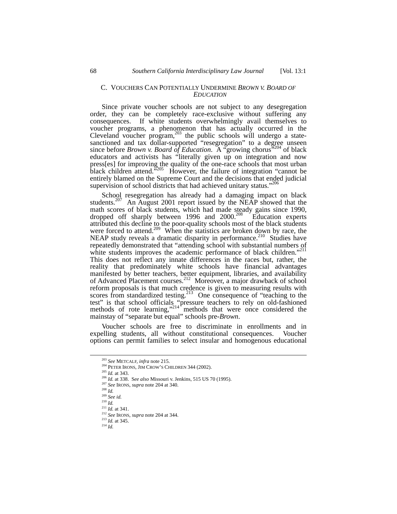#### C. VOUCHERS CAN POTENTIALLY UNDERMINE *BROWN V. BOARD OF EDUCATION*

Since private voucher schools are not subject to any desegregation order, they can be completely race-exclusive without suffering any consequences. If white students overwhelmingly avail themselves to voucher programs, a phenomenon that has actually occurred in the Cleveland voucher program,<sup>203</sup> the public schools will undergo a statesanctioned and tax dollar-supported "resegregation" to a degree unseen since before *Brown v. Board of Education*. A "growing chorus<sup>"204</sup> of black educators and activists has "literally given up on integration and now press[es] for improving the quality of the one-race schools that most urban black children attend.<sup>5205</sup> However, the failure of integration "cannot be entirely blamed on the Supreme Court and the decisions that ended judicial supervision of school districts that had achieved unitary status."<sup>20</sup>

School resegregation has already had a damaging impact on black students.<sup>207</sup> An August 2001 report issued by the NEAP showed that the math scores of black students, which had made steady gains since 1990, dropped off sharply between 1996 and 2000.<sup>208</sup> Education experts attributed this decline to the poor-quality schools most of the black students were forced to attend.<sup>209</sup> When the statistics are broken down by race, the NEAP study reveals a dramatic disparity in performance.<sup>210</sup> Studies have repeatedly demonstrated that "attending school with substantial numbers of white students improves the academic performance of black children."<sup>211</sup> This does not reflect any innate differences in the races but, rather, the reality that predominately white schools have financial advantages manifested by better teachers, better equipment, libraries, and availability of Advanced Placement courses.[212](#page-19-9) Moreover, a major drawback of school reform proposals is that much credence is given to measuring results with scores from standardized testing.<sup>213</sup> One consequence of "teaching to the test" is that school officials "pressure teachers to rely on old-fashioned methods of rote learning," $214$ <sup>r</sup> methods that were once considered the mainstay of "separate but equal" schools pre-*Brown*.

Voucher schools are free to discriminate in enrollments and in expelling students, all without constitutional consequences. Voucher options can permit families to select insular and homogenous educational

<span id="page-19-0"></span> <sup>203</sup> *See* METCALF, *infra* note 215.

<span id="page-19-1"></span><sup>&</sup>lt;sup>204</sup> PETER IRONS, JIM CROW'S CHILDREN 344 (2002).

<span id="page-19-2"></span><sup>205</sup> *Id.* at 343.

<span id="page-19-3"></span><sup>206</sup> *Id.* at 338. S*ee also* Missouri v. Jenkins, 515 US 70 (1995).

<span id="page-19-4"></span><sup>207</sup> *See* IRONS, *supra* note 204 at 340.

 $208$  *Id.* 

<span id="page-19-6"></span><span id="page-19-5"></span><sup>209</sup> *See id.*

<span id="page-19-7"></span> $^{210}$  *Id.* 

<span id="page-19-8"></span><sup>211</sup> *Id.* at 341.

<span id="page-19-9"></span><sup>212</sup> *See* IRONS, *supra* note 204 at 344.

<span id="page-19-10"></span><sup>213</sup> *Id.* at 345.

<span id="page-19-11"></span><sup>214</sup> *Id.*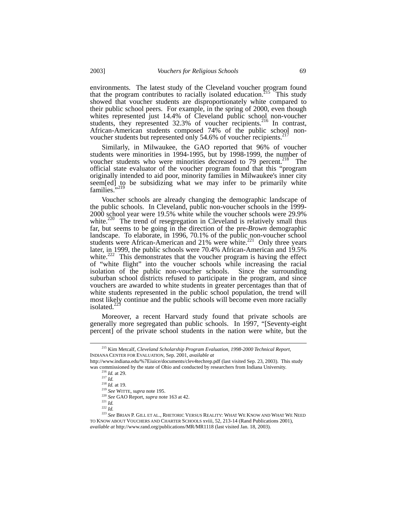environments. The latest study of the Cleveland voucher program found that the program contributes to racially isolated education.<sup>215</sup> This study showed that voucher students are disproportionately white compared to their public school peers. For example, in the spring of 2000, even though whites represented just 14.4% of Cleveland public school non-voucher students, they represented 32.3% of voucher recipients.<sup>216</sup> In contrast, African-American students composed 74% of the publ[ic](#page-20-1) school nonvoucher students but represented only 54.6% of voucher recipients.<sup>2</sup>

Similarly, in Milwaukee, the GAO reported that 96% of voucher students were minorities in 1994-1995, but by 1998-1999, the number of voucher students who were minorities decreased to  $79$  percent.<sup>218</sup> The official state evaluator of the voucher program found that this "program originally intended to aid poor, minority families in Milwaukee's inner city seem[ed] to be subsidizing what we may infer to be primarily white families.'

Voucher schools are already changing the demographic landscape of the public schools. In Cleveland, public non-voucher schools in the 1999- 2000 school year were 19.5% white while the voucher schools were 29.9% white. $220$  The trend of resegregation in Cleveland is relatively small thus far, but seems to be going in the direction of the pre-*Brown* demographic landscape. To elaborate, in 1996, 70.1% of the public non-voucher school students were African-American and  $21\%$  were white.<sup>221</sup> Only three years later, in 1999, the public schools were 70.4% African-American and 19.5% white.<sup>222</sup> This demonstrates that the voucher program is having the effect of "white flight" into the voucher schools while increasing the racial isolation of the public non-voucher schools. Since the surrounding suburban school districts refused to participate in the program, and since vouchers are awarded to white students in greater percentages than that of white students represented in the public school population, the trend will most likely continue and the public schools will become even more racially isolated. $^{2}$ 

Moreover, a recent Harvard study found that private schools are generally more segregated than public schools. In 1997, "[Seventy-eight percent] of the private school students in the nation were white, but the

<span id="page-20-0"></span> <sup>215</sup> Kim Metcalf, *Cleveland Scholarship Program Evaluation, 1998-2000 Technical Report,* INDIANA CENTER FOR EVALUATION, Sep. 2001, *available at*

http://www.indiana.edu/%7Eiuice/documents/clev4techrep.pdf (last visited Sep. 23, 2003). This study was commissioned by the state of Ohio and conducted by researchers from Indiana University.

<span id="page-20-1"></span><sup>216</sup> *Id.* at 29.

<span id="page-20-2"></span><sup>217</sup> *Id.*

<span id="page-20-3"></span><sup>218</sup> *Id.* at 19.

<span id="page-20-4"></span><sup>219</sup> *See* WITTE, *supra* note 195.

<span id="page-20-5"></span><sup>220</sup> *See* GAO Report, *supra* note 163 at 42.

<span id="page-20-6"></span> $^{221}$  *Id.* 

<span id="page-20-8"></span><span id="page-20-7"></span><sup>222</sup> *Id.*

<sup>223</sup> *See* BRIAN P. GILL ET AL., RHETORIC VERSUS REALITY: WHAT WE KNOW AND WHAT WE NEED TO KNOW ABOUT VOUCHERS AND CHARTER SCHOOLS xviii, 52, 213-14 (Rand Publications 2001), *available at* http://www.rand.org/publications/MR/MR1118 (last visited Jan. 18, 2003).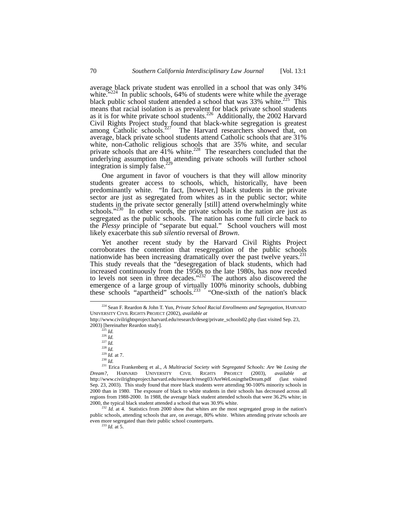average black private student was enrolled in a school that was only 34% white." $224$  In public schools, 64% of students were white while the average black public school student attended a school that was  $33\%$  white.<sup>225</sup> This means that racial isolation is as prevalent for black private school students as it is for white private school students.<sup>226</sup> Additionally, the 2002 Harvard Civil Rights Project study found that black-white segregation is greatest among Catholic schools.<sup>227</sup> The Harvard researchers showed that, on average, black private school students attend Catholic schools that are 31% white, non-Catholic religious schools that are 35% white, and secular private schools that are  $\frac{41\%}{100}$  white.<sup>228</sup> The researchers concluded that the underlying assumption that attending private schools will further school integration is simply false.<sup>[229](#page-21-5)</sup>

One argument in favor of vouchers is that they will allow minority students greater access to schools, which, historically, have been predominantly white. "In fact, [however,] black students in the private sector are just as segregated from whites as in the public sector; white students in the private sector generally [still] attend overwhelmingly white schools."<sup>230</sup> In other words, the private schools in the nation are just as segregated as the public schools. The nation has come full circle back to the *Plessy* principle of "separate but equal." School vouchers will most likely exacerbate this *sub silentio* reversal of *Brown*.

Yet another recent study by the Harvard Civil Rights Project corroborates the contention that resegregation of the public schools nationwide has been increasing dramatically over the past twelve years. This study reveals that the "desegregation of black students, which had increased continuously from the 1950s to the late 1980s, has now receded to levels not seen in three decades." [232](#page-21-8) The authors also discovered the emergence of a large group of virtually 100% minority schools, dubbing these schools "apartheid" schools.<sup>233</sup> "One-sixth of the nation's black

<span id="page-21-5"></span><span id="page-21-4"></span>

<span id="page-21-8"></span> $2^{232}$  *Id.* at 4. Statistics from 2000 show that whites are the most segregated group in the nation's public schools, attending schools that are, on average, 80% white. Whites attending private schools are even more segregated than their public school counterparts.

<span id="page-21-9"></span> $^{233}$  *Id.* at 5.

<span id="page-21-0"></span> <sup>224</sup> Sean F. Reardon & John T. Yun, *Private School Racial Enrollments and Segregation*, HARVARD UNIVERSITY CIVIL RIGHTS PROJECT (2002), *available at*

http://www.civilrightsproject.harvard.edu/research/deseg/private\_schools02.php (last visited Sep. 23, 2003) [hereinafter Reardon study].

<span id="page-21-1"></span> $^{225}$  *Id.* 

<span id="page-21-2"></span><sup>226</sup> *Id.*

<span id="page-21-3"></span><sup>227</sup> *Id.* <sup>228</sup> *Id.*

<sup>229</sup> *Id.* at 7. 230 *Id.*

<span id="page-21-7"></span><span id="page-21-6"></span>

<sup>231</sup> Erica Frankenberg et al., *A Multiracial Society with Segregated Schools: Are We Losing the Dream?*, HARVARD UNIVERSITY CIVIL RIGHTS PROJECT (2003), *available at* http://www.civilrightsproject.harvard.edu/research/reseg03/AreWeLosingtheDream.pdf (last visited Sep. 23, 2003). This study found that more black students were attending 90-100% minority schools in 2000 than in 1980. The exposure of black to white students in their schools has decreased across all regions from 1988-2000. In 1988, the average black student attended schools that were 36.2% white; in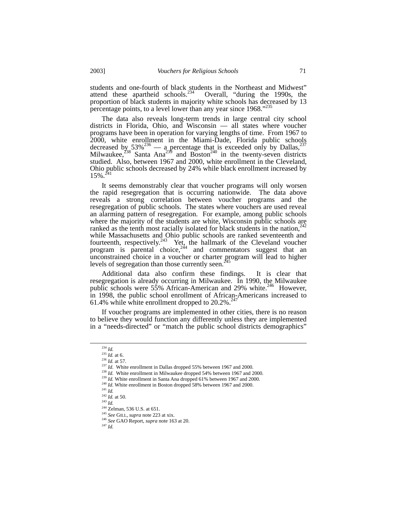students and one-fourth of black students in the Northeast and Midwest" attend these apartheid schools.<sup>234</sup> Overall, "during the 1990s, the proportion of black students in majority white schools has decreased by 13 percentage points, to a level lower than any year since 1968."<sup>[235](#page-22-1)</sup>

The data also reveals long-term trends in large central city school districts in Florida, Ohio, and Wisconsin — all states where voucher programs have been in operation for varying lengths of time. From 1967 to 2000, white enrollment in the Miami-Dade, Florida public schools decreased by  $53\%^{236}$  — a percentage that is exceeded only by Dallas,  $237$ Milwaukee,<sup>238</sup> Santa Ana<sup>239</sup> and Boston<sup>240</sup> in the twenty-seven districts studied. Also, between 1967 and 2000, white enrollment in the Cleveland, Ohio public schools decreased by 24% while black enrollment increased by  $15\%$   $\frac{241}{41}$  $\frac{241}{41}$  $\frac{241}{41}$ 15%.

It seems demonstrably clear that voucher programs will only worsen the rapid resegregation that is occurring nationwide. The data above reveals a strong correlation between voucher programs and the resegregation of public schools. The states where vouchers are used reveal an alarming pattern of resegregation. For example, among public schools where the majority of the students are white, Wisconsin public schools are ranked as the tenth most racially isolated for black students in the nation,  $242$ while Massachusetts and Ohio public schools are ranked seventeenth and fourteenth, respectively.<sup>243</sup> Yet, the hallmark of the Cleveland voucher program is parental choice,  $2^{44}$  and commentators suggest that an unconstrained choice in a voucher or charter program will lead to higher levels of segregation than those currently seen.<sup>2</sup>

Additional data also confirm these findings. It is clear that resegregation is already occurring in Milwaukee. In 1990, the Milwaukee public schools were 55% African-American and 29% white.<sup>246</sup> However, in 1998, the public school enrollment of African-Americans increased to 61.4% while white enrollment dropped to  $20.2\%$ .  $247$ 

If voucher programs are implemented in other cities, there is no reason to believe they would function any differently unless they are implemented in a "needs-directed" or "match the public school districts demographics"

<span id="page-22-0"></span> $\begin{array}{c} {^{234}} \; Id. \\ {^{235}} \; Id. \; \mathrm{at} \; 6. \end{array}$ 

<span id="page-22-2"></span><span id="page-22-1"></span><sup>&</sup>lt;sup>236</sup> *Id.* at 57.

<span id="page-22-3"></span><sup>&</sup>lt;sup>237</sup> *Id.* White enrollment in Dallas dropped 55% between 1967 and 2000.

<span id="page-22-4"></span><sup>&</sup>lt;sup>238</sup> *Id.* White enrollment in Milwaukee dropped 54% between 1967 and 2000.

<span id="page-22-5"></span><sup>&</sup>lt;sup>239</sup> *Id.* White enrollment in Santa Ana dropped 61% between 1967 and 2000.

<span id="page-22-6"></span><sup>&</sup>lt;sup>240</sup> *Id*. White enrollment in Boston dropped 58% between 1967 and 2000.

<span id="page-22-7"></span><sup>241</sup> *Id.*

<span id="page-22-8"></span> $^{242}$  *Id.* at 50.

<span id="page-22-9"></span><sup>243</sup> *Id.*

<span id="page-22-10"></span><sup>&</sup>lt;sup>244</sup> Zelman, 536 U.S. at 651.

<span id="page-22-11"></span><sup>245</sup> *See* GILL, *supra* note 223 at xix.

<span id="page-22-13"></span><span id="page-22-12"></span><sup>246</sup> *See* GAO Report, *supra* note 163 at 20.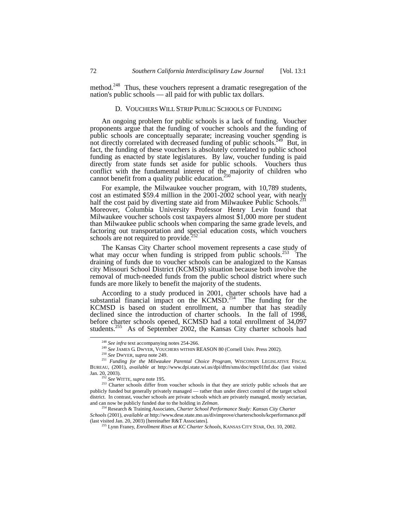method.<sup>248</sup> Thus, these vouchers represent a dramatic resegregation of the nation's public schools — all paid for with public tax dollars.

# D. VOUCHERS WILL STRIP PUBLIC SCHOOLS OF FUNDING

An ongoing problem for public schools is a lack of funding. Voucher proponents argue that the funding of voucher schools and the funding of public schools are conceptually separate; increasing voucher spending is not directly correlated with decreased funding of public schools.<sup>[249](#page-23-1)</sup> But, in fact, the funding of these vouchers is absolutely correlated to public school funding as enacted by state legislatures. By law, voucher funding is paid directly from state funds set aside for public schools. Vouchers thus conflict with the fundamental interest of the majority of children who cannot benefit from a quality public education. $250$ 

For example, the Milwaukee voucher program, with 10,789 students, cost an estimated \$59.4 million in the 2001-2002 school year, with nearly half the cost paid by diverting state aid from Milwaukee Public Schools.<sup>251</sup> Moreover, Columbia University Professor Henry Levin found that Milwaukee voucher schools cost taxpayers almost \$1,000 more per student than Milwaukee public schools when comparing the same grade levels, and factoring out transportation and special education costs, which vouchers schools are not required to provide.

The Kansas City Charter school movement represents a case study of what may occur when funding is stripped from public schools.<sup>253</sup> The draining of funds due to voucher schools can be analogized to the Kansas city Missouri School District (KCMSD) situation because both involve the removal of much-needed funds from the public school district where such funds are more likely to benefit the majority of the students.

According to a study produced in 2001, charter schools have had a substantial financial impact on the  $KCMSD.<sup>254</sup>$  The funding for the KCMSD is based on student enrollment, a number that has steadily declined since the introduction of charter schools. In the fall of 1998, before charter schools opened, KCMSD had a total enrollment of 34,097 students.<sup>255</sup> As of September 2002, the Kansas City charter schools had

<span id="page-23-1"></span>

<span id="page-23-0"></span><sup>&</sup>lt;sup>248</sup> *See infra text accompanying notes 254-266.* 249 *See JAMES G. DWYER, VOUCHERS WITHIN REASON 80 (Cornell Univ. Press 2002).* 

<span id="page-23-3"></span><span id="page-23-2"></span><sup>250</sup> *See* DWYER, *supra* note 249.

<sup>251</sup> *Funding for the Milwaukee Parental Choice Program*, WISCONSIN LEGISLATIVE FISCAL BUREAU, (2001), *available at* http://www.dpi.state.wi.us/dpi/dfm/sms/doc/mpc01fnf.doc (last visited Jan. 20, 2003).

<span id="page-23-5"></span><span id="page-23-4"></span><sup>252</sup> *See* WITTE, *supra* note 195.

<sup>&</sup>lt;sup>253</sup> Charter schools differ from voucher schools in that they are strictly public schools that are publicly funded but generally privately managed — rather than under direct control of the target school district. In contrast, voucher schools are private schools which are privately managed, mostly sectarian, and can now be publicly funded due to the holding in *Zelman*. 254 Research & Training Associates, *Charter School Performance Study: Kansas City Charter* 

<span id="page-23-6"></span>*Schools* (2001), *available at* http://www.dese.state.mo.us/divimprove/charterschools/kcperformance.pdf (last visited Jan. 20, 2003) [hereinafter R&T Associates].

<span id="page-23-7"></span><sup>255</sup> Lynn Franey, *Enrollment Rises at KC Charter Schools*, KANSAS CITY STAR, Oct. 10, 2002.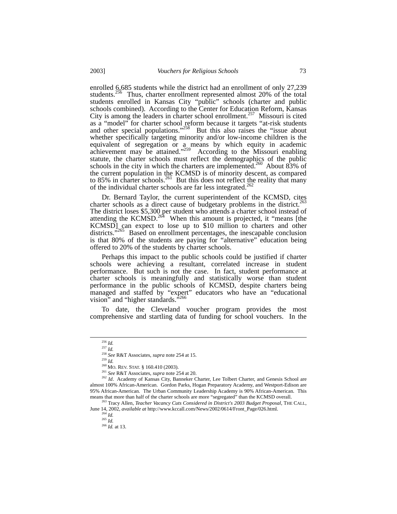enrolled 6,685 students while the district had an enrollment of only 27,239 students.<sup>256</sup> Thus, charter enrollment represented almost 20% of the total students enrolled in Kansas City "public" schools (charter and public schools combined). According to the Center for Education Reform, Kansas City is among the leaders in charter school enrollment.<sup>257</sup> Missouri is cited as a "model" for charter school reform because it targets "at-risk students and other special populations."<sup>258</sup> But this also raises the "issue about whether specifically targeting minority and/or low-income children is the equivalent of segregation or a means by which equity in academic achievement may be attained."<sup>259</sup> According to the Missouri enabling statute, the charter schools must reflect the demographics of the public schools in the city in which the charters are implemented.<sup>260</sup> About 83% of the current population in the KCMSD is of minority descent, as compared to 85% in charter schools.<sup>261</sup> But this does not reflect the reality that many of the individual charter schools are far less integrated.<sup>[262](#page-24-6)</sup>

Dr. Bernard Taylor, the current superintendent of the KCMSD, cites charter schools as a direct cause of budgetary problems in the district.<sup>263</sup> The district loses \$5,300 per student who attends a charter school instead of attending the KCMSD.<sup>264</sup> When this amount is projected, it "means [the KCMSD] can expect to lose up to \$10 million to charters and other districts.<sup>7265</sup> Based on enrollment percentages, the inescapable conclusion is that 80% of the students are paying for "alternative" education being offered to 20% of the students by charter schools.

Perhaps this impact to the public schools could be justified if charter schools were achieving a resultant, correlated increase in student performance. But such is not the case. In fact, student performance at charter schools is meaningfully and statistically worse than student performance in the public schools of KCMSD, despite charters being managed and staffed by "expert" educators who have an "educational vision" and "higher standards."

To date, the Cleveland voucher program provides the most comprehensive and startling data of funding for school vouchers. In the

 <sup>256</sup> *Id.*

<span id="page-24-1"></span><span id="page-24-0"></span><sup>257</sup> *Id.*

<span id="page-24-2"></span><sup>258</sup> *See* R&T Associates, *supra* note 254 at 15.

<span id="page-24-3"></span><sup>259</sup> *Id.*

<span id="page-24-4"></span><sup>&</sup>lt;sup>260</sup> MO. REV. STAT. § 160.410 (2003).

<span id="page-24-6"></span><span id="page-24-5"></span><sup>261</sup> *See* R&T Associates, *supra* note 254 at 20.

<sup>&</sup>lt;sup>262</sup> Id. Academy of Kansas City, Banneker Charter, Lee Tolbert Charter, and Genesis School are almost 100% African-American. Gordon Parks, Hogan Preparatory Academy, and Westport-Edison are 95% African-American. The Urban Community Leadership Academy is 90% African-American. This means that more than half of the charter schools are more "segregated" than the KCMSD overall.

<sup>263</sup> Tracy Allen, *Teacher Vacancy Cuts Considered in District's 2003 Budget Proposal*, THE CALL, June 14, 2002, *available at* http://www.kccall.com/News/2002/0614/Front\_Page/026.html. 264 *Id.*

<span id="page-24-9"></span><span id="page-24-8"></span><span id="page-24-7"></span>

 $\frac{265}{Id.}$ 

<span id="page-24-10"></span><sup>266</sup> *Id.* at 13.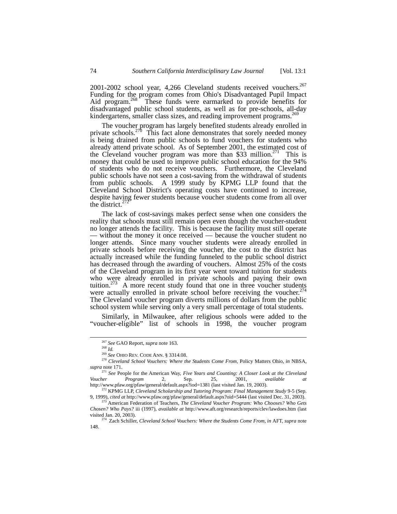2001-2002 school year, 4,266 Cleveland students received vouchers.<sup>267</sup> Funding for the program comes from Ohio's Disadvantaged Pupil Impact Aid program.<sup>268</sup> These funds were earmarked to provide benefits for disadvantaged public school students, as well as for pre-schools, all-day kindergartens, smaller class sizes, and reading improvement programs.<sup>[269](#page-25-2)</sup>

The voucher program has largely benefited students already enrolled in private schools.<sup>270</sup> This fact alone demonstrates that sorely needed money is being drained from public schools to fund vouchers for students who already attend private school. As of September 2001, the estimated cost of the Cleveland voucher program was more than \$33 million.<sup>271</sup> This is money that could be used to improve public school education for the 94% of students who do not receive vouchers. Furthermore, the Cleveland public schools have not seen a cost-saving from the withdrawal of students from public schools. A 1999 study by KPMG LLP found that the Cleveland School District's operating costs have continued to increase, despite having fewer students because voucher students come from all over the district.<sup>27</sup>

The lack of cost-savings makes perfect sense when one considers the reality that schools must still remain open even though the voucher-student no longer attends the facility. This is because the facility must still operate — without the money it once received — because the voucher student no longer attends. Since many voucher students were already enrolled in private schools before receiving the voucher, the cost to the district has actually increased while the funding funneled to the public school district has decreased through the awarding of vouchers. Almost 25% of the costs of the Cleveland program in its first year went toward tuition for students who were already enrolled in private schools and paying their own tuition.<sup>273</sup> A more recent study found that one in three voucher students were actually enrolled in private school before receiving the voucher.<sup>274</sup> The Cleveland voucher program diverts millions of dollars from the public school system while serving only a very small percentage of total students.

Similarly, in Milwaukee, after religious schools were added to the "voucher-eligible" list of schools in 1998, the voucher program

<span id="page-25-0"></span> <sup>267</sup> *See* GAO Report, *supra* note 163.

<span id="page-25-3"></span><span id="page-25-2"></span><span id="page-25-1"></span>

<sup>&</sup>lt;sup>268</sup> *Id.*<br><sup>268</sup> *Id.*<br><sup>269</sup> *See* OHIO REV. CODE ANN. § 3314.08.

<sup>&</sup>lt;sup>270</sup> Cleveland School Vouchers: Where the Students Come From, Policy Matters Ohio, in NBSA, *supra* note 171.

<span id="page-25-4"></span><sup>&</sup>lt;sup>271</sup> See People for the American Way, *Five Years and Counting: A Closer Look at the Cleveland Voucher Program 2.* Sep. 25, 2001, *available at Voucher Program* 2, Sep. 25, 2001, *available at*  http://www.pfaw.org/pfaw/general/default.aspx?iod=1381 (last visited Jan. 19, 2003).

<span id="page-25-5"></span><sup>272</sup> KPMG LLP, *Cleveland Scholarship and Tutoring Program: Final Management Study* 9-5 (Sep. 9, 1999), *cited at* http://www.pfaw.org/pfaw/general/default.aspx?oid=5444 (last visited Dec. 31, 2003).

<span id="page-25-6"></span><sup>273</sup> American Federation of Teachers, *The Cleveland Voucher Program: Who Chooses? Who Gets Chosen? Who Pays?* iii (1997), *available at* http://www.aft.org/research/reports/clev/lawdoes.htm (last visited Jan. 20, 2003).

<span id="page-25-7"></span><sup>274</sup> Zach Schiller, *Cleveland School Vouchers: Where the Students Come From*, *in* AFT, *supra* note 148.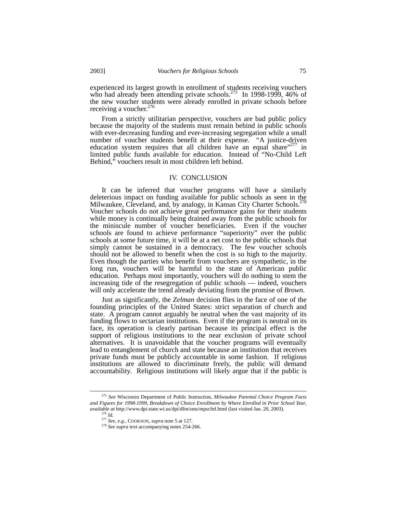experienced its largest growth in enrollment of students receiving vouchers who had already been attending private schools.<sup>275</sup> In 1998-1999, 46% of the new voucher students were already enrolled in private schools before receiving a voucher.<sup>[276](#page-26-1)</sup>

From a strictly utilitarian perspective, vouchers are bad public policy because the majority of the students must remain behind in public schools with ever-decreasing funding and ever-increasing segregation while a small number of voucher students benefit at their expense. "A justice-driven education system requires that all children have an equal share"<sup>277</sup> in limited public funds available for education. Instead of "No-Child Left Behind," vouchers result in most children left behind.

## IV. CONCLUSION

It can be inferred that voucher programs will have a similarly deleterious impact on funding available for public schools as seen in the Milwaukee, Cleveland, and, by analogy, in Kansas City Charter Schools.<sup>278</sup> Voucher schools do not achieve great performance gains for their students while money is continually being drained away from the public schools for the miniscule number of voucher beneficiaries. Even if the voucher schools are found to achieve performance "superiority" over the public schools at some future time, it will be at a net cost to the public schools that simply cannot be sustained in a democracy. The few voucher schools should not be allowed to benefit when the cost is so high to the majority. Even though the parties who benefit from vouchers are sympathetic, in the long run, vouchers will be harmful to the state of American public education. Perhaps most importantly, vouchers will do nothing to stem the increasing tide of the resegregation of public schools — indeed, vouchers will only accelerate the trend already deviating from the promise of *Brown*.

Just as significantly, the *Zelman* decision flies in the face of one of the founding principles of the United States: strict separation of church and state. A program cannot arguably be neutral when the vast majority of its funding flows to sectarian institutions. Even if the program is neutral on its face, its operation is clearly partisan because its principal effect is the support of religious institutions to the near exclusion of private school alternatives. It is unavoidable that the voucher programs will eventually lead to entanglement of church and state because an institution that receives private funds must be publicly accountable in some fashion. If religious institutions are allowed to discriminate freely, the public will demand accountability. Religious institutions will likely argue that if the public is

<span id="page-26-0"></span> <sup>275</sup> *See* Wisconsin Department of Public Instruction, *Milwaukee Parental Choice Program Facts and Figures for 1998-1999, Breakdown of Choice Enrollment by Where Enrolled in Prior School Year*, *available at* http://www.dpi.state.wi.us/dpi/dfm/sms/mpscfnf.html (last visited Jan. 20, 2003).

<span id="page-26-1"></span><sup>276</sup> *Id.* 

<span id="page-26-2"></span><sup>277</sup> *See, e.g.,* COOKSON, *supra* note 5 at 127.

<span id="page-26-3"></span><sup>278</sup> *See supra* text accompanying notes 254-266.